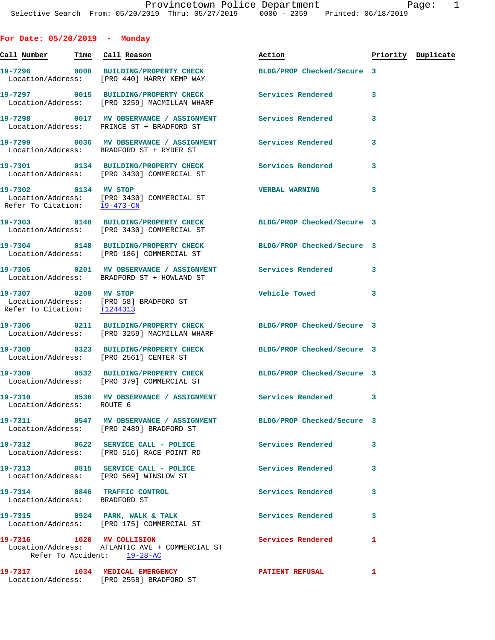| For Date: $05/20/2019$ - Monday                          |                                                                                                                 |                             |              |                    |
|----------------------------------------------------------|-----------------------------------------------------------------------------------------------------------------|-----------------------------|--------------|--------------------|
| <u>Call Number — Time Call Reason</u>                    |                                                                                                                 | Action                      |              | Priority Duplicate |
|                                                          | 19-7296 0008 BUILDING/PROPERTY CHECK<br>Location/Address: [PRO 440] HARRY KEMP WAY                              | BLDG/PROP Checked/Secure 3  |              |                    |
|                                                          | 19-7297 0015 BUILDING/PROPERTY CHECK Services Rendered<br>Location/Address: [PRO 3259] MACMILLAN WHARF          |                             | 3            |                    |
|                                                          | 19-7298 0017 MV OBSERVANCE / ASSIGNMENT Services Rendered<br>Location/Address: PRINCE ST + BRADFORD ST          |                             | 3            |                    |
|                                                          | 19-7299 6036 MV OBSERVANCE / ASSIGNMENT Services Rendered<br>Location/Address: BRADFORD ST + RYDER ST           |                             | 3            |                    |
|                                                          | 19-7301 0134 BUILDING/PROPERTY CHECK Services Rendered<br>Location/Address: [PRO 3430] COMMERCIAL ST            |                             | 3            |                    |
| Refer To Citation: 19-473-CN                             | 19-7302 0134 MV STOP<br>Location/Address: [PRO 3430] COMMERCIAL ST                                              | <b>VERBAL WARNING</b>       | 3            |                    |
|                                                          | 19-7303 0148 BUILDING/PROPERTY CHECK BLDG/PROP Checked/Secure 3<br>Location/Address: [PRO 3430] COMMERCIAL ST   |                             |              |                    |
|                                                          | 19-7304 0148 BUILDING/PROPERTY CHECK<br>Location/Address: [PRO 186] COMMERCIAL ST                               | BLDG/PROP Checked/Secure 3  |              |                    |
|                                                          | 19-7305 0201 MV OBSERVANCE / ASSIGNMENT Services Rendered<br>Location/Address: BRADFORD ST + HOWLAND ST         |                             | 3            |                    |
| 19-7307 0209 MV STOP                                     | Location/Address: [PRO 58] BRADFORD ST<br>Refer To Citation: T1244313                                           | Vehicle Towed <b>Search</b> | 3            |                    |
|                                                          | 19-7306 0211 BUILDING/PROPERTY CHECK BLDG/PROP Checked/Secure 3<br>Location/Address: [PRO 3259] MACMILLAN WHARF |                             |              |                    |
| Location/Address: [PRO 2561] CENTER ST                   | 19-7308 0323 BUILDING/PROPERTY CHECK BLDG/PROP Checked/Secure 3                                                 |                             |              |                    |
|                                                          | 19-7309 0532 BUILDING/PROPERTY CHECK BLDG/PROP Checked/Secure 3<br>Location/Address: [PRO 379] COMMERCIAL ST    |                             |              |                    |
| Location/Address: ROUTE 6                                | 19-7310 0536 MV OBSERVANCE / ASSIGNMENT                                                                         | Services Rendered 3         |              |                    |
|                                                          | 19-7311 0547 MV OBSERVANCE / ASSIGNMENT BLDG/PROP Checked/Secure 3<br>Location/Address: [PRO 2489] BRADFORD ST  |                             |              |                    |
|                                                          | 19-7312 0622 SERVICE CALL - POLICE<br>Location/Address: [PRO 516] RACE POINT RD                                 | <b>Services Rendered</b>    | 3            |                    |
| Location/Address: [PRO 569] WINSLOW ST                   | 19-7313 0815 SERVICE CALL - POLICE                                                                              | <b>Services Rendered</b>    | 3            |                    |
| Location/Address: BRADFORD ST                            | 19-7314 0846 TRAFFIC CONTROL                                                                                    | <b>Services Rendered</b>    | 3            |                    |
|                                                          | 19-7315 0924 PARK, WALK & TALK<br>Location/Address: [PRO 175] COMMERCIAL ST                                     | Services Rendered           | 3            |                    |
| 19-7316 1020 MV COLLISION<br>Refer To Accident: 19-28-AC | Location/Address: ATLANTIC AVE + COMMERCIAL ST                                                                  | <b>Services Rendered</b>    | $\mathbf{1}$ |                    |
|                                                          | 19-7317 1034 MEDICAL EMERGENCY<br>Location/Address: [PRO 2558] BRADFORD ST                                      | PATIENT REFUSAL             | 1            |                    |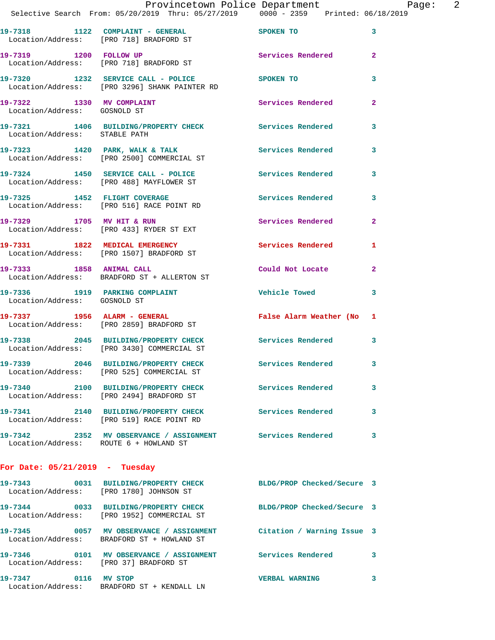|                                        | Provincetown Police Department Page:<br>Selective Search From: 05/20/2019 Thru: 05/27/2019   0000 - 2359   Printed: 06/18/2019 |                       | 2                       |
|----------------------------------------|--------------------------------------------------------------------------------------------------------------------------------|-----------------------|-------------------------|
|                                        | 19-7318 1122 COMPLAINT - GENERAL SPOKEN TO<br>Location/Address: [PRO 718] BRADFORD ST                                          |                       | $\overline{\mathbf{3}}$ |
|                                        | 19-7319 1200 FOLLOW UP<br>Location/Address: [PRO 718] BRADFORD ST                                                              | Services Rendered 2   |                         |
|                                        | 19-7320 1232 SERVICE CALL - POLICE SPOKEN TO<br>Location/Address: [PRO 3296] SHANK PAINTER RD                                  |                       | 3                       |
| Location/Address: GOSNOLD ST           | 19-7322 1330 MV COMPLAINT Services Rendered 2                                                                                  |                       |                         |
| Location/Address: STABLE PATH          | 19-7321 1406 BUILDING/PROPERTY CHECK Services Rendered                                                                         |                       | $\mathbf{3}$            |
|                                        | 19-7323 1420 PARK, WALK & TALK STREET SERVICES Rendered 3<br>Location/Address: [PRO 2500] COMMERCIAL ST                        |                       |                         |
|                                        | 19-7324 1450 SERVICE CALL - POLICE<br>Location/Address: [PRO 488] MAYFLOWER ST                                                 | Services Rendered 3   |                         |
|                                        | 19-7325 1452 FLIGHT COVERAGE<br>Location/Address: [PRO 516] RACE POINT RD                                                      | Services Rendered     | $\mathbf{3}$            |
|                                        | 19-7329 1705 MV HIT & RUN<br>Location/Address: [PRO 433] RYDER ST EXT                                                          | Services Rendered 2   |                         |
|                                        | 19-7331 1822 MEDICAL EMERGENCY<br>Location/Address: [PRO 1507] BRADFORD ST                                                     | Services Rendered     | $\mathbf{1}$            |
|                                        | 19-7333 1858 ANIMAL CALL<br>Location/Address: BRADFORD ST + ALLERTON ST                                                        | Could Not Locate 2    |                         |
| Location/Address: GOSNOLD ST           | 19-7336 1919 PARKING COMPLAINT THE Vehicle Towed                                                                               |                       | 3                       |
|                                        | 19-7337 1956 ALARM - GENERAL <b>False Alarm Weather (No. 1</b><br>Location/Address: [PRO 2859] BRADFORD ST                     |                       |                         |
|                                        | 19-7338 2045 BUILDING/PROPERTY CHECK Services Rendered<br>Location/Address: [PRO 3430] COMMERCIAL ST                           |                       | 3                       |
|                                        | 19-7339 2046 BUILDING/PROPERTY CHECK<br>Location/Address: [PRO 525] COMMERCIAL ST                                              | Services Rendered     |                         |
|                                        | 19-7340 2100 BUILDING/PROPERTY CHECK Services Rendered<br>Location/Address: [PRO 2494] BRADFORD ST                             |                       | $\mathbf{3}$            |
|                                        | 19-7341 2140 BUILDING/PROPERTY CHECK Services Rendered<br>Location/Address: [PRO 519] RACE POINT RD                            |                       | 3                       |
| Location/Address: ROUTE 6 + HOWLAND ST | 19-7342 2352 MV OBSERVANCE / ASSIGNMENT Services Rendered                                                                      |                       | 3                       |
| For Date: $05/21/2019$ - Tuesday       |                                                                                                                                |                       |                         |
|                                        | 19-7343 0031 BUILDING/PROPERTY CHECK BLDG/PROP Checked/Secure 3<br>Location/Address: [PRO 1780] JOHNSON ST                     |                       |                         |
|                                        | 19-7344 0033 BUILDING/PROPERTY CHECK BLDG/PROP Checked/Secure 3<br>Location/Address: [PRO 1952] COMMERCIAL ST                  |                       |                         |
|                                        | 19-7345 0057 MV OBSERVANCE / ASSIGNMENT Citation / Warning Issue 3<br>Location/Address: BRADFORD ST + HOWLAND ST               |                       |                         |
| Location/Address: [PRO 37] BRADFORD ST | 19-7346 0101 MV OBSERVANCE / ASSIGNMENT Services Rendered 3                                                                    |                       |                         |
| 19-7347 0116 MV STOP                   |                                                                                                                                | <b>VERBAL WARNING</b> | 3                       |

Location/Address: BRADFORD ST + KENDALL LN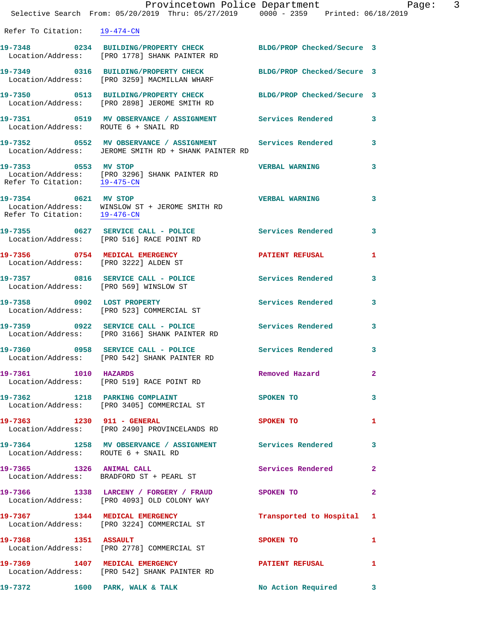|                                      | Provincetown Police Department Page: 3<br>Selective Search From: $05/20/2019$ Thru: $05/27/2019$ $0000 - 2359$ Printed: $06/18/2019$ |                           |              |
|--------------------------------------|--------------------------------------------------------------------------------------------------------------------------------------|---------------------------|--------------|
| Refer To Citation: 19-474-CN         |                                                                                                                                      |                           |              |
|                                      | 19-7348 0234 BUILDING/PROPERTY CHECK BLDG/PROP Checked/Secure 3<br>Location/Address: [PRO 1778] SHANK PAINTER RD                     |                           |              |
|                                      | 19-7349 0316 BUILDING/PROPERTY CHECK BLDG/PROP Checked/Secure 3<br>Location/Address: [PRO 3259] MACMILLAN WHARF                      |                           |              |
|                                      | 19-7350 0513 BUILDING/PROPERTY CHECK BLDG/PROP Checked/Secure 3<br>Location/Address: [PRO 2898] JEROME SMITH RD                      |                           |              |
| Location/Address: ROUTE 6 + SNAIL RD | 19-7351 0519 MV OBSERVANCE / ASSIGNMENT Services Rendered 3                                                                          |                           |              |
|                                      | 19-7352 0552 MV OBSERVANCE / ASSIGNMENT Services Rendered 3<br>Location/Address: JEROME SMITH RD + SHANK PAINTER RD                  |                           |              |
|                                      | 19-7353 0553 MV STOP<br>Location/Address: [PRO 3296] SHANK PAINTER RD<br>Refer To Citation: $\frac{19-475-CN}{19-475-CN}$            | <b>VERBAL WARNING</b>     | 3            |
| 19-7354 0621 MV STOP                 | Location/Address: WINSLOW ST + JEROME SMITH RD<br>Refer To Citation: $\frac{19-476-\text{CN}}{19-476-\text{CN}}}$                    | <b>VERBAL WARNING</b>     | 3            |
|                                      | 19-7355 0627 SERVICE CALL - POLICE Services Rendered 3<br>Location/Address: [PRO 516] RACE POINT RD                                  |                           |              |
|                                      | 19-7356 0754 MEDICAL EMERGENCY PATIENT REFUSAL<br>Location/Address: [PRO 3222] ALDEN ST                                              |                           | 1            |
|                                      | 19-7357 0816 SERVICE CALL - POLICE Services Rendered 3<br>Location/Address: [PRO 569] WINSLOW ST                                     |                           |              |
|                                      | 19-7358 0902 LOST PROPERTY<br>Location/Address: [PRO 523] COMMERCIAL ST                                                              | Services Rendered         | 3            |
|                                      | 19-7359 0922 SERVICE CALL - POLICE Services Rendered 3<br>Location/Address: [PRO 3166] SHANK PAINTER RD                              |                           |              |
|                                      | 19-7360 0958 SERVICE CALL - POLICE Services Rendered<br>Location/Address: [PRO 542] SHANK PAINTER RD                                 |                           | 3            |
| 19-7361 1010 HAZARDS                 | Location/Address: [PRO 519] RACE POINT RD                                                                                            | Removed Hazard            | $\mathbf{2}$ |
|                                      | 19-7362 1218 PARKING COMPLAINT<br>Location/Address: [PRO 3405] COMMERCIAL ST                                                         | <b>SPOKEN TO</b>          | 3            |
|                                      | 19-7363 1230 911 - GENERAL<br>Location/Address: [PRO 2490] PROVINCELANDS RD                                                          | SPOKEN TO                 | 1            |
| Location/Address: ROUTE 6 + SNAIL RD | 19-7364 1258 MV OBSERVANCE / ASSIGNMENT Services Rendered 3                                                                          |                           |              |
|                                      | 19-7365 1326 ANIMAL CALL<br>Location/Address: BRADFORD ST + PEARL ST                                                                 | Services Rendered 2       |              |
|                                      | 19-7366 1338 LARCENY / FORGERY / FRAUD SPOKEN TO<br>Location/Address: [PRO 4093] OLD COLONY WAY                                      |                           | $\mathbf{2}$ |
|                                      | 19-7367 1344 MEDICAL EMERGENCY<br>Location/Address: [PRO 3224] COMMERCIAL ST                                                         | Transported to Hospital 1 |              |
|                                      | 19-7368 1351 ASSAULT<br>Location/Address: [PRO 2778] COMMERCIAL ST                                                                   | <b>SPOKEN TO</b>          | 1            |
|                                      | 19-7369 1407 MEDICAL EMERGENCY PATIENT REFUSAL<br>Location/Address: [PRO 542] SHANK PAINTER RD                                       |                           | 1            |
|                                      | 19-7372 1600 PARK, WALK & TALK No Action Required 3                                                                                  |                           |              |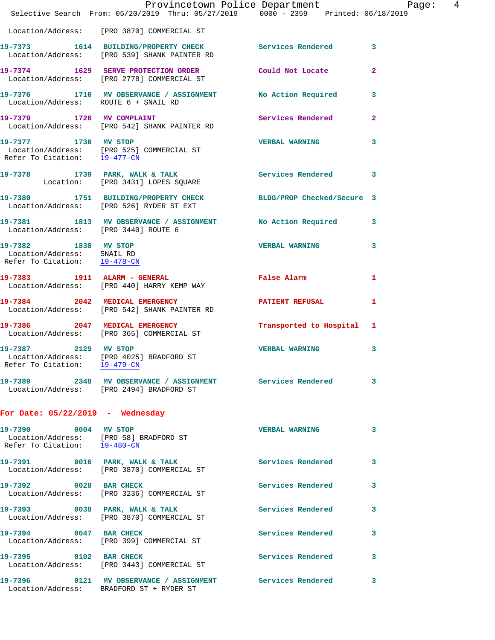|                                                            | Provincetown Police Department Page: 4<br>Selective Search From: 05/20/2019 Thru: 05/27/2019   0000 - 2359   Printed: 06/18/2019 |                           |                |
|------------------------------------------------------------|----------------------------------------------------------------------------------------------------------------------------------|---------------------------|----------------|
|                                                            | Location/Address: [PRO 3870] COMMERCIAL ST                                                                                       |                           |                |
|                                                            | 19-7373 1614 BUILDING/PROPERTY CHECK Services Rendered 3<br>Location/Address: [PRO 539] SHANK PAINTER RD                         |                           |                |
|                                                            | 19-7374 1629 SERVE PROTECTION ORDER Could Not Locate<br>Location/Address: [PRO 2778] COMMERCIAL ST                               |                           | $\overline{2}$ |
|                                                            | 19-7376 1710 MV OBSERVANCE / ASSIGNMENT No Action Required 3<br>Location/Address: ROUTE 6 + SNAIL RD                             |                           |                |
|                                                            | 19-7379 1726 MV COMPLAINT<br>Location/Address: [PRO 542] SHANK PAINTER RD                                                        | Services Rendered         | $\mathbf{2}$   |
|                                                            | 19-7377 1730 MV STOP<br>Location/Address: [PRO 525] COMMERCIAL ST<br>Refer To Citation: 19-477-CM                                | <b>VERBAL WARNING</b> 3   |                |
|                                                            | 19-7378 1739 PARK, WALK & TALK 1997 Services Rendered 3<br>Location: [PRO 3431] LOPES SQUARE                                     |                           |                |
|                                                            | 19-7380 1751 BUILDING/PROPERTY CHECK BLDG/PROP Checked/Secure 3<br>Location/Address: [PRO 526] RYDER ST EXT                      |                           |                |
| Location/Address: [PRO 3440] ROUTE 6                       | 19-7381 1813 MV OBSERVANCE / ASSIGNMENT No Action Required 3                                                                     |                           |                |
| Location/Address: SNAIL RD<br>Refer To Citation: 19-478-CN | 19-7382 1838 MV STOP                                                                                                             | <b>VERBAL WARNING</b>     | 3              |
|                                                            | 19-7383 1911 ALARM - GENERAL<br>Location/Address: [PRO 440] HARRY KEMP WAY                                                       | False Alarm               | 1              |
|                                                            | 19-7384 2042 MEDICAL EMERGENCY PATIENT REFUSAL<br>Location/Address: [PRO 542] SHANK PAINTER RD                                   |                           | 1              |
|                                                            | 19-7386 2047 MEDICAL EMERGENCY<br>Location/Address: [PRO 365] COMMERCIAL ST                                                      | Transported to Hospital 1 |                |
| Refer To Citation: 19-479-CN                               | 19-7387 2129 MV STOP<br>Location/Address: [PRO 4025] BRADFORD ST                                                                 | <b>VERBAL WARNING</b>     | 3              |
|                                                            | 19-7389 2348 MV OBSERVANCE / ASSIGNMENT Services Rendered 3<br>Location/Address: [PRO 2494] BRADFORD ST                          |                           |                |
| For Date: $05/22/2019$ - Wednesday                         |                                                                                                                                  |                           |                |
| 19-7390 0004 MV STOP                                       | Location/Address: [PRO 58] BRADFORD ST<br>Refer To Citation: 19-480-CN                                                           | <b>VERBAL WARNING</b>     | 3              |
|                                                            | 19-7391 0016 PARK, WALK & TALK<br>Location/Address: [PRO 3870] COMMERCIAL ST                                                     | Services Rendered         | 3              |
| 19-7392 0028 BAR CHECK                                     | Location/Address: [PRO 3236] COMMERCIAL ST                                                                                       | Services Rendered         | 3              |
|                                                            | 19-7393 0038 PARK, WALK & TALK<br>Location/Address: [PRO 3870] COMMERCIAL ST                                                     | Services Rendered         | 3              |
| 19-7394 0047 BAR CHECK                                     | Location/Address: [PRO 399] COMMERCIAL ST                                                                                        | Services Rendered         | 3              |
|                                                            | 19-7395 0102 BAR CHECK<br>Location/Address: [PRO 3443] COMMERCIAL ST                                                             | Services Rendered         | $\mathbf{3}$   |
|                                                            | 19-7396 0121 MV OBSERVANCE / ASSIGNMENT Services Rendered<br>Location/Address: BRADFORD ST + RYDER ST                            |                           | 3              |
|                                                            |                                                                                                                                  |                           |                |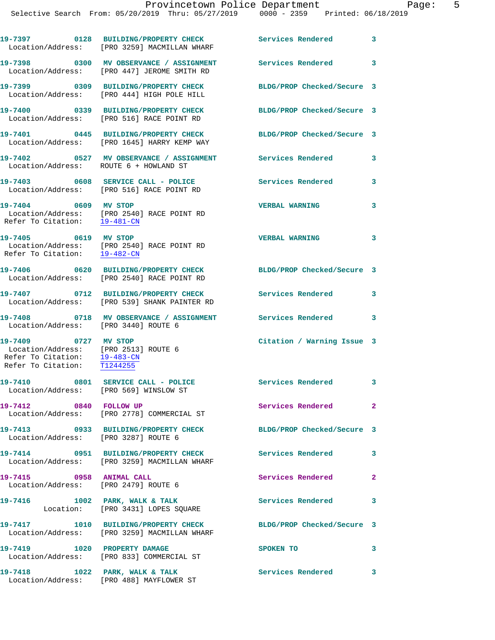|                                                                                                                             | 19-7397 0128 BUILDING/PROPERTY CHECK<br>Location/Address: [PRO 3259] MACMILLAN WHARF               | Services Rendered 3        |                            |
|-----------------------------------------------------------------------------------------------------------------------------|----------------------------------------------------------------------------------------------------|----------------------------|----------------------------|
|                                                                                                                             | 19-7398 0300 MV OBSERVANCE / ASSIGNMENT<br>Location/Address: [PRO 447] JEROME SMITH RD             | Services Rendered 3        |                            |
|                                                                                                                             | 19-7399 0309 BUILDING/PROPERTY CHECK<br>Location/Address: [PRO 444] HIGH POLE HILL                 | BLDG/PROP Checked/Secure 3 |                            |
|                                                                                                                             | 19-7400 0339 BUILDING/PROPERTY CHECK<br>Location/Address: [PRO 516] RACE POINT RD                  | BLDG/PROP Checked/Secure 3 |                            |
|                                                                                                                             | 19-7401 0445 BUILDING/PROPERTY CHECK<br>Location/Address: [PRO 1645] HARRY KEMP WAY                | BLDG/PROP Checked/Secure 3 |                            |
| Location/Address: ROUTE 6 + HOWLAND ST                                                                                      | 19-7402 6527 MV OBSERVANCE / ASSIGNMENT Services Rendered                                          |                            | $\overline{\mathbf{3}}$    |
|                                                                                                                             | 19-7403 0608 SERVICE CALL - POLICE<br>Location/Address: [PRO 516] RACE POINT RD                    | <b>Services Rendered</b>   | $\mathbf{3}$               |
| 19-7404 0609 MV STOP                                                                                                        | Location/Address: [PRO 2540] RACE POINT RD<br>Refer To Citation: $\frac{19-481-CN}{19-481-CN}$     | <b>VERBAL WARNING</b>      | $\mathbf{3}$               |
|                                                                                                                             | 19-7405 0619 MV STOP<br>Location/Address: [PRO 2540] RACE POINT RD<br>Refer To Citation: 19-482-CM | <b>VERBAL WARNING</b>      | $\mathbf{3}$               |
|                                                                                                                             | 19-7406 0620 BUILDING/PROPERTY CHECK<br>Location/Address: [PRO 2540] RACE POINT RD                 | BLDG/PROP Checked/Secure 3 |                            |
|                                                                                                                             | 19-7407 0712 BUILDING/PROPERTY CHECK<br>Location/Address: [PRO 539] SHANK PAINTER RD               | Services Rendered          | $\mathbf{3}$               |
| Location/Address: [PRO 3440] ROUTE 6                                                                                        | 19-7408 0718 MV OBSERVANCE / ASSIGNMENT Services Rendered                                          |                            | $\overline{\phantom{a}}$ 3 |
| 19-7409 0727 MV STOP<br>Location/Address: [PRO 2513] ROUTE 6<br>Refer To Citation: 19-483-CN<br>Refer To Citation: T1244255 |                                                                                                    | Citation / Warning Issue 3 |                            |
| Location/Address: [PRO 569] WINSLOW ST                                                                                      | 19-7410 0801 SERVICE CALL - POLICE                                                                 | Services Rendered 3        |                            |
| 19-7412 0840 FOLLOW UP                                                                                                      | Location/Address: [PRO 2778] COMMERCIAL ST                                                         | Services Rendered          | $\mathbf{2}$               |
| Location/Address: [PRO 3287] ROUTE 6                                                                                        | 19-7413 0933 BUILDING/PROPERTY CHECK                                                               | BLDG/PROP Checked/Secure 3 |                            |
|                                                                                                                             | 19-7414 0951 BUILDING/PROPERTY CHECK<br>Location/Address: [PRO 3259] MACMILLAN WHARF               | <b>Services Rendered</b>   | $\overline{\mathbf{3}}$    |
| 19-7415 0958 ANIMAL CALL<br>Location/Address: [PRO 2479] ROUTE 6                                                            |                                                                                                    | Services Rendered          | $\mathbf{2}$               |
|                                                                                                                             | 19-7416 1002 PARK, WALK & TALK<br>Location: [PRO 3431] LOPES SQUARE                                | Services Rendered 3        |                            |
|                                                                                                                             | 19-7417 1010 BUILDING/PROPERTY CHECK<br>Location/Address: [PRO 3259] MACMILLAN WHARF               | BLDG/PROP Checked/Secure 3 |                            |
| 19-7419 1020 PROPERTY DAMAGE                                                                                                | Location/Address: [PRO 833] COMMERCIAL ST                                                          | SPOKEN TO                  | $\mathbf{3}$               |
|                                                                                                                             | 19-7418 1022 PARK, WALK & TALK<br>Location/Address: [PRO 488] MAYFLOWER ST                         | <b>Services Rendered</b>   | $\mathbf{3}$               |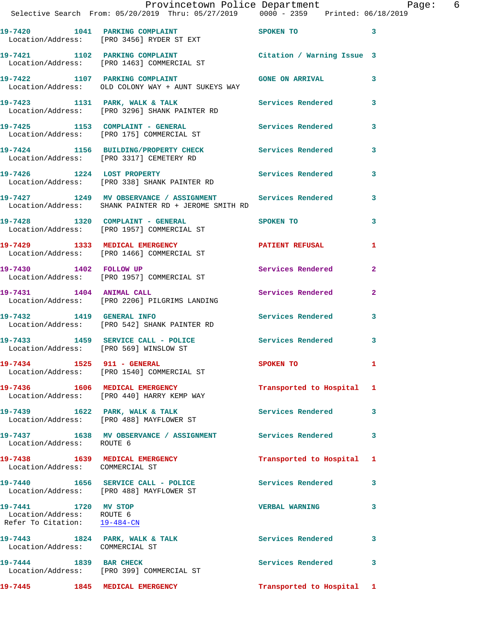|                                                                                   | Provincetown Police Department<br>Selective Search From: 05/20/2019 Thru: 05/27/2019 0000 - 2359 Printed: 06/18/2019                         |                           |                |
|-----------------------------------------------------------------------------------|----------------------------------------------------------------------------------------------------------------------------------------------|---------------------------|----------------|
|                                                                                   | 19-7420 1041 PARKING COMPLAINT SPOKEN TO 3<br>Location/Address: [PRO 3456] RYDER ST EXT                                                      |                           |                |
|                                                                                   | 19-7421 1102 PARKING COMPLAINT Citation / Warning Issue 3<br>Location/Address: [PRO 1463] COMMERCIAL ST                                      |                           |                |
|                                                                                   | 19-7422 1107 PARKING COMPLAINT CONSTANT GONE ON ARRIVAL<br>Location/Address: OLD COLONY WAY + AUNT SUKEYS WAY                                |                           |                |
|                                                                                   | 19-7423 1131 PARK, WALK & TALK 19-7423 1131 PARK, WALK & TALK 1998 1998 Services Rendered 3<br>Location/Address: [PRO 3296] SHANK PAINTER RD |                           |                |
|                                                                                   | 19-7425 1153 COMPLAINT - GENERAL ST Services Rendered 3<br>Location/Address: [PRO 175] COMMERCIAL ST                                         |                           |                |
|                                                                                   | 19-7424 1156 BUILDING/PROPERTY CHECK Services Rendered 3<br>Location/Address: [PRO 3317] CEMETERY RD                                         |                           |                |
|                                                                                   | 19-7426 1224 LOST PROPERTY Services Rendered 3<br>Location/Address: [PRO 338] SHANK PAINTER RD                                               |                           |                |
|                                                                                   | 19-7427 1249 MV OBSERVANCE / ASSIGNMENT Services Rendered 3<br>Location/Address: SHANK PAINTER RD + JEROME SMITH RD                          |                           |                |
|                                                                                   | 19-7428 1320 COMPLAINT - GENERAL SPOKEN TO<br>Location/Address: [PRO 1957] COMMERCIAL ST                                                     |                           | $\mathbf{3}$   |
|                                                                                   | 19-7429 1333 MEDICAL EMERGENCY PATIENT REFUSAL<br>Location/Address: [PRO 1466] COMMERCIAL ST                                                 |                           | $\mathbf{1}$   |
|                                                                                   | 19-7430 1402 FOLLOW UP<br>Location/Address: [PRO 1957] COMMERCIAL ST                                                                         | Services Rendered 2       |                |
|                                                                                   | 19-7431 1404 ANIMAL CALL Services Rendered<br>Location/Address: [PRO 2206] PILGRIMS LANDING                                                  |                           | $\overline{2}$ |
|                                                                                   | 19-7432 1419 GENERAL INFO 2001 2012 Services Rendered 3<br>Location/Address: [PRO 542] SHANK PAINTER RD                                      |                           |                |
|                                                                                   | 19-7433 1459 SERVICE CALL - POLICE 3 Services Rendered 3<br>Location/Address: [PRO 569] WINSLOW ST                                           |                           |                |
|                                                                                   | 19-7434 1525 911 - GENERAL<br>Location/Address: [PRO 1540] COMMERCIAL ST                                                                     | <b>SPOKEN TO</b>          |                |
|                                                                                   | 19-7436 1606 MEDICAL EMERGENCY<br>Location/Address: [PRO 440] HARRY KEMP WAY                                                                 | Transported to Hospital 1 |                |
|                                                                                   | 19-7439 1622 PARK, WALK & TALK<br>Location/Address: [PRO 488] MAYFLOWER ST                                                                   | Services Rendered 3       |                |
| Location/Address: ROUTE 6                                                         | 19-7437 1638 MV OBSERVANCE / ASSIGNMENT Services Rendered                                                                                    |                           | 3              |
| Location/Address: COMMERCIAL ST                                                   | 19-7438 1639 MEDICAL EMERGENCY                                                                                                               | Transported to Hospital 1 |                |
|                                                                                   | 19-7440 1656 SERVICE CALL - POLICE Services Rendered 3<br>Location/Address: [PRO 488] MAYFLOWER ST                                           |                           |                |
| 19-7441 1720 MV STOP<br>Location/Address: ROUTE 6<br>Refer To Citation: 19-484-CN |                                                                                                                                              | VERBAL WARNING 3          |                |
| Location/Address: COMMERCIAL ST                                                   | 19-7443 1824 PARK, WALK & TALK 1999 Services Rendered                                                                                        |                           | 3              |
|                                                                                   | 19-7444 1839 BAR CHECK<br>Location/Address: [PRO 399] COMMERCIAL ST                                                                          | Services Rendered 3       |                |
|                                                                                   | 19-7445 1845 MEDICAL EMERGENCY Transported to Hospital 1                                                                                     |                           |                |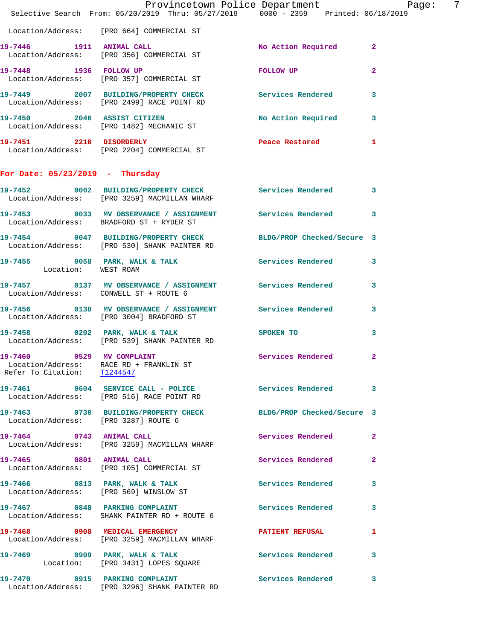|                                        | Provincetown Police Department Page:<br>Selective Search From: 05/20/2019 Thru: 05/27/2019   0000 - 2359   Printed: 06/18/2019 |                                       | -7           |
|----------------------------------------|--------------------------------------------------------------------------------------------------------------------------------|---------------------------------------|--------------|
|                                        | Location/Address: [PRO 664] COMMERCIAL ST                                                                                      |                                       |              |
|                                        | 19-7446 1911 ANIMAL CALL<br>Location/Address: [PRO 356] COMMERCIAL ST                                                          | No Action Required 2                  |              |
|                                        | 19-7448 1936 FOLLOW UP<br>Location/Address: [PRO 357] COMMERCIAL ST                                                            | FOLLOW UP NOTES                       | $\mathbf{2}$ |
|                                        | 19-7449 2007 BUILDING/PROPERTY CHECK Services Rendered 3<br>Location/Address: [PRO 2499] RACE POINT RD                         |                                       |              |
|                                        | 19-7450 2046 ASSIST CITIZEN<br>Location/Address: [PRO 1482] MECHANIC ST                                                        | No Action Required 3                  |              |
|                                        |                                                                                                                                | Peace Restored and the Peace Restored | $\mathbf{1}$ |
| For Date: $05/23/2019$ - Thursday      |                                                                                                                                |                                       |              |
|                                        | 19-7452 0002 BUILDING/PROPERTY CHECK Services Rendered 3<br>Location/Address: [PRO 3259] MACMILLAN WHARF                       |                                       |              |
|                                        | 19-7453 0033 MV OBSERVANCE / ASSIGNMENT Services Rendered 3<br>Location/Address: BRADFORD ST + RYDER ST                        |                                       |              |
|                                        | 19-7454 0047 BUILDING/PROPERTY CHECK BLDG/PROP Checked/Secure 3<br>Location/Address: [PRO 530] SHANK PAINTER RD                |                                       |              |
| Location: WEST ROAM                    | 19-7455 0058 PARK, WALK & TALK 3 Services Rendered 3                                                                           |                                       |              |
| Location/Address: CONWELL ST + ROUTE 6 | 19-7457 		 0137 MV OBSERVANCE / ASSIGNMENT Services Rendered                                                                   |                                       | 3            |
|                                        | 19-7456 0138 MV OBSERVANCE / ASSIGNMENT Services Rendered 3<br>Location/Address: [PRO 3004] BRADFORD ST                        |                                       |              |
|                                        | 19-7458 0202 PARK, WALK & TALK<br>Location/Address: [PRO 539] SHANK PAINTER RD                                                 | SPOKEN TO                             | 3            |
| 19-7460<br>Refer To Citation: T1244547 | 0529 MV COMPLAINT<br>Location/Address: RACE RD + FRANKLIN ST                                                                   | Services Rendered 2                   |              |
|                                        | 19-7461 0604 SERVICE CALL - POLICE<br>Location/Address: [PRO 516] RACE POINT RD                                                | Services Rendered 3                   |              |
| Location/Address: [PRO 3287] ROUTE 6   | 19-7463 0730 BUILDING/PROPERTY CHECK BLDG/PROP Checked/Secure 3                                                                |                                       |              |
|                                        | 19-7464 0743 ANIMAL CALL<br>Location/Address: [PRO 3259] MACMILLAN WHARF                                                       | Services Rendered                     | $\mathbf{2}$ |
| 19-7465 0801 ANIMAL CALL               | Location/Address: [PRO 105] COMMERCIAL ST                                                                                      | Services Rendered 2                   |              |
|                                        | 19-7466 0813 PARK, WALK & TALK<br>Location/Address: [PRO 569] WINSLOW ST                                                       | Services Rendered 3                   |              |
|                                        | 19-7467 0848 PARKING COMPLAINT<br>Location/Address: SHANK PAINTER RD + ROUTE 6                                                 | Services Rendered 3                   |              |
|                                        | 19-7468 0908 MEDICAL EMERGENCY<br>Location/Address: [PRO 3259] MACMILLAN WHARF                                                 | <b>PATIENT REFUSAL</b>                | $\mathbf{1}$ |
|                                        | Location: [PRO 3431] LOPES SQUARE                                                                                              |                                       |              |
|                                        | 19-7470 0915 PARKING COMPLAINT<br>Location/Address: [PRO 3296] SHANK PAINTER RD                                                | Services Rendered 3                   |              |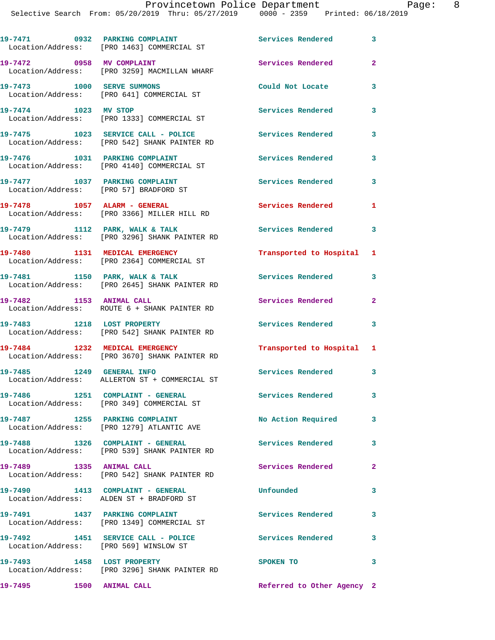|                            | 19-7471 0932 PARKING COMPLAINT<br>Location/Address: [PRO 1463] COMMERCIAL ST       | Services Rendered          | 3                          |
|----------------------------|------------------------------------------------------------------------------------|----------------------------|----------------------------|
| 19-7472 0958 MV COMPLAINT  | Location/Address: [PRO 3259] MACMILLAN WHARF                                       | Services Rendered          | $\mathbf{2}$               |
| 19-7473 1000 SERVE SUMMONS | Location/Address: [PRO 641] COMMERCIAL ST                                          | Could Not Locate           | 3                          |
| 19-7474 1023 MV STOP       | Location/Address: [PRO 1333] COMMERCIAL ST                                         | <b>Services Rendered</b>   | 3                          |
|                            | 19-7475 1023 SERVICE CALL - POLICE<br>Location/Address: [PRO 542] SHANK PAINTER RD | <b>Services Rendered</b>   | 3                          |
|                            | 19-7476 1031 PARKING COMPLAINT<br>Location/Address: [PRO 4140] COMMERCIAL ST       | Services Rendered          | 3                          |
|                            | 19-7477 1037 PARKING COMPLAINT<br>Location/Address: [PRO 57] BRADFORD ST           | <b>Services Rendered</b>   | 3                          |
|                            | $19-7478$ 1057 ALARM - GENERAL<br>Location/Address: [PRO 3366] MILLER HILL RD      | <b>Services Rendered</b>   | 1                          |
|                            | 19-7479 1112 PARK, WALK & TALK<br>Location/Address: [PRO 3296] SHANK PAINTER RD    | Services Rendered 3        |                            |
|                            | 19-7480 1131 MEDICAL EMERGENCY<br>Location/Address: [PRO 2364] COMMERCIAL ST       | Transported to Hospital 1  |                            |
|                            | 19-7481 1150 PARK, WALK & TALK<br>Location/Address: [PRO 2645] SHANK PAINTER RD    | Services Rendered          | 3                          |
| 19-7482 1153 ANIMAL CALL   | Location/Address: ROUTE 6 + SHANK PAINTER RD                                       | Services Rendered          | $\mathbf{2}$               |
|                            | 19-7483 1218 LOST PROPERTY<br>Location/Address: [PRO 542] SHANK PAINTER RD         | <b>Services Rendered</b>   | $\overline{\phantom{a}}$ 3 |
|                            | 19-7484 1232 MEDICAL EMERGENCY<br>Location/Address: [PRO 3670] SHANK PAINTER RD    | Transported to Hospital 1  |                            |
| 19-7485 1249 GENERAL INFO  | Location/Address: ALLERTON ST + COMMERCIAL ST                                      | Services Rendered 3        |                            |
|                            | 19-7486 1251 COMPLAINT - GENERAL<br>Location/Address: [PRO 349] COMMERCIAL ST      | Services Rendered          | 3                          |
|                            | 19-7487 1255 PARKING COMPLAINT<br>Location/Address: [PRO 1279] ATLANTIC AVE        | No Action Required         | 3                          |
|                            | 19-7488 1326 COMPLAINT - GENERAL<br>Location/Address: [PRO 539] SHANK PAINTER RD   | Services Rendered 3        |                            |
| 19-7489 1335 ANIMAL CALL   | Location/Address: [PRO 542] SHANK PAINTER RD                                       | Services Rendered          | $\mathbf{2}$               |
|                            | 19-7490 1413 COMPLAINT - GENERAL<br>Location/Address: ALDEN ST + BRADFORD ST       | Unfounded                  | $\mathbf{3}$               |
|                            | 19-7491 1437 PARKING COMPLAINT<br>Location/Address: [PRO 1349] COMMERCIAL ST       | Services Rendered          | 3                          |
|                            | 19-7492 1451 SERVICE CALL - POLICE                                                 | Services Rendered          | 3                          |
|                            | Location/Address: [PRO 569] WINSLOW ST<br>19-7493 1458 LOST PROPERTY               | <b>SPOKEN TO</b>           | 3                          |
| 19-7495 1500 ANIMAL CALL   | Location/Address: [PRO 3296] SHANK PAINTER RD                                      | Referred to Other Agency 2 |                            |
|                            |                                                                                    |                            |                            |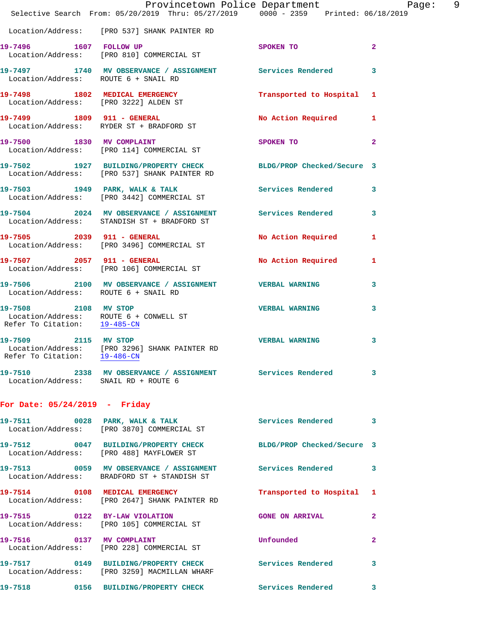|                                      | Provincetown Police Department Page: 9<br>Selective Search From: $05/20/2019$ Thru: $05/27/2019$ $0000 - 2359$ Printed: $06/18/2019$ |                           |              |  |
|--------------------------------------|--------------------------------------------------------------------------------------------------------------------------------------|---------------------------|--------------|--|
|                                      | Location/Address: [PRO 537] SHANK PAINTER RD                                                                                         |                           |              |  |
| 19-7496 1607 FOLLOW UP               | Location/Address: [PRO 810] COMMERCIAL ST                                                                                            | SPOKEN TO                 | $\mathbf{2}$ |  |
| Location/Address: ROUTE 6 + SNAIL RD | 19-7497 1740 MV OBSERVANCE / ASSIGNMENT Services Rendered 3                                                                          |                           |              |  |
|                                      | 19-7498 1802 MEDICAL EMERGENCY Transported to Hospital 1<br>Location/Address: [PRO 3222] ALDEN ST                                    |                           |              |  |
|                                      | 19-7499 1809 911 - GENERAL<br>Location/Address: RYDER ST + BRADFORD ST                                                               | No Action Required 1      |              |  |
|                                      | 19-7500 1830 MV COMPLAINT<br>Location/Address: [PRO 114] COMMERCIAL ST                                                               | SPOKEN TO 2               |              |  |
|                                      | 19-7502 1927 BUILDING/PROPERTY CHECK BLDG/PROP Checked/Secure 3<br>Location/Address: [PRO 537] SHANK PAINTER RD                      |                           |              |  |
|                                      | 19-7503 1949 PARK, WALK & TALK 1988 Services Rendered 3<br>Location/Address: [PRO 3442] COMMERCIAL ST                                |                           |              |  |
|                                      | 19-7504 2024 MV OBSERVANCE / ASSIGNMENT Services Rendered 3<br>Location/Address: STANDISH ST + BRADFORD ST                           |                           |              |  |
|                                      | 19-7505 2039 911 - GENERAL<br>Location/Address: [PRO 3496] COMMERCIAL ST                                                             | No Action Required 1      |              |  |
|                                      | 19-7507 2057 911 - GENERAL<br>Location/Address: [PRO 106] COMMERCIAL ST                                                              | No Action Required 1      |              |  |
| Location/Address: ROUTE 6 + SNAIL RD | 19-7506 2100 MV OBSERVANCE / ASSIGNMENT VERBAL WARNING                                                                               |                           | 3            |  |
| 19-7508 2108 MV STOP                 | Location/Address: ROUTE 6 + CONWELL ST<br>Refer To Citation: $\frac{19-485-CN}{29-485-CN}$                                           | VERBAL WARNING 3          |              |  |
| Refer To Citation: 19-486-CN         | 19-7509 2115 MV STOP<br>Location/Address: [PRO 3296] SHANK PAINTER RD                                                                | <b>VERBAL WARNING</b>     | $\mathbf{3}$ |  |
| Location/Address: SNAIL RD + ROUTE 6 | 19-7510 2338 MV OBSERVANCE / ASSIGNMENT Services Rendered 3                                                                          |                           |              |  |
| For Date: $05/24/2019$ - Friday      |                                                                                                                                      |                           |              |  |
|                                      | 19-7511 0028 PARK, WALK & TALK 3 Services Rendered 3<br>Location/Address: [PRO 3870] COMMERCIAL ST                                   |                           |              |  |
|                                      | 19-7512 0047 BUILDING/PROPERTY CHECK BLDG/PROP Checked/Secure 3<br>Location/Address: [PRO 488] MAYFLOWER ST                          |                           |              |  |
|                                      | 19-7513 0059 MV OBSERVANCE / ASSIGNMENT Services Rendered 3<br>Location/Address: BRADFORD ST + STANDISH ST                           |                           |              |  |
|                                      | 19-7514 0108 MEDICAL EMERGENCY<br>Location/Address: [PRO 2647] SHANK PAINTER RD                                                      | Transported to Hospital 1 |              |  |
| 19-7515 0122 BY-LAW VIOLATION        | Location/Address: [PRO 105] COMMERCIAL ST                                                                                            | GONE ON ARRIVAL 2         |              |  |
|                                      | 19-7516 0137 MV COMPLAINT<br>Location/Address: [PRO 228] COMMERCIAL ST                                                               | <b>Unfounded</b>          | $\mathbf{2}$ |  |
|                                      | 19-7517 0149 BUILDING/PROPERTY CHECK Services Rendered 3<br>Location/Address: [PRO 3259] MACMILLAN WHARF                             |                           |              |  |
|                                      | 19-7518 		 0156 BUILDING/PROPERTY CHECK Services Rendered 3                                                                          |                           |              |  |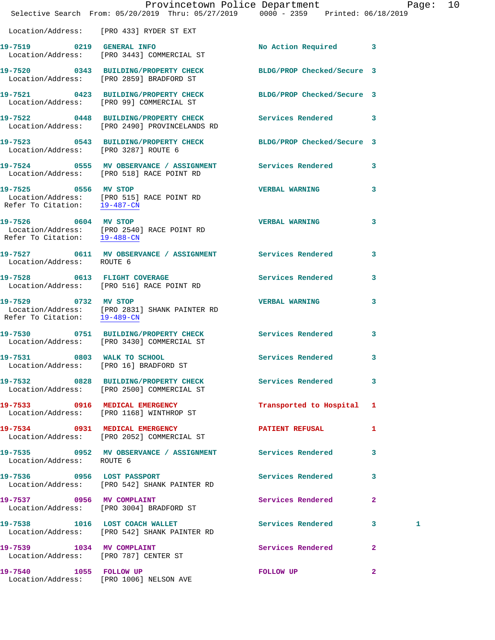|                                                      | Provincetown Police Department<br>Selective Search From: 05/20/2019 Thru: 05/27/2019 0000 - 2359 Printed: 06/18/2019 |                            | Page:            | 10 |
|------------------------------------------------------|----------------------------------------------------------------------------------------------------------------------|----------------------------|------------------|----|
|                                                      | Location/Address: [PRO 433] RYDER ST EXT                                                                             |                            |                  |    |
|                                                      | 19-7519 0219 GENERAL INFO<br>Location/Address: [PRO 3443] COMMERCIAL ST                                              | No Action Required 3       |                  |    |
|                                                      | 19-7520 0343 BUILDING/PROPERTY CHECK<br>Location/Address: [PRO 2859] BRADFORD ST                                     | BLDG/PROP Checked/Secure 3 |                  |    |
|                                                      | 19-7521 0423 BUILDING/PROPERTY CHECK BLDG/PROP Checked/Secure 3<br>Location/Address: [PRO 99] COMMERCIAL ST          |                            |                  |    |
|                                                      | 19-7522 0448 BUILDING/PROPERTY CHECK Services Rendered<br>Location/Address: [PRO 2490] PROVINCELANDS RD              |                            | 3                |    |
| Location/Address: [PRO 3287] ROUTE 6                 | 19-7523 0543 BUILDING/PROPERTY CHECK BLDG/PROP Checked/Secure 3                                                      |                            |                  |    |
|                                                      |                                                                                                                      |                            | 3                |    |
| 19-7525 0556 MV STOP<br>Refer To Citation: 19-487-CN | Location/Address: [PRO 515] RACE POINT RD                                                                            | <b>VERBAL WARNING</b>      | 3                |    |
| 19-7526 0604 MV STOP<br>Refer To Citation: 19-488-CN | Location/Address: [PRO 2540] RACE POINT RD                                                                           | <b>VERBAL WARNING</b>      | 3                |    |
| Location/Address: ROUTE 6                            | 19-7527 0611 MV OBSERVANCE / ASSIGNMENT Services Rendered                                                            |                            | 3                |    |
|                                                      | 19-7528 0613 FLIGHT COVERAGE<br>Location/Address: [PRO 516] RACE POINT RD                                            | Services Rendered          | 3                |    |
| Refer To Citation: 19-489-CN                         |                                                                                                                      | <b>VERBAL WARNING</b>      | 3                |    |
|                                                      | 19-7530 0751 BUILDING/PROPERTY CHECK<br>Location/Address: [PRO 3430] COMMERCIAL ST                                   | <b>Services Rendered</b>   | 3                |    |
| 19-7531 0803 WALK TO SCHOOL                          | Location/Address: [PRO 16] BRADFORD ST                                                                               | Services Rendered          | 3                |    |
|                                                      | 19-7532 0828 BUILDING/PROPERTY CHECK Services Rendered<br>Location/Address: [PRO 2500] COMMERCIAL ST                 |                            | 3                |    |
|                                                      | 19-7533 0916 MEDICAL EMERGENCY<br>Location/Address: [PRO 1168] WINTHROP ST                                           | Transported to Hospital 1  |                  |    |
|                                                      | 19-7534 0931 MEDICAL EMERGENCY<br>Location/Address: [PRO 2052] COMMERCIAL ST                                         | <b>PATIENT REFUSAL</b>     | 1                |    |
| Location/Address: ROUTE 6                            | 19-7535 6952 MV OBSERVANCE / ASSIGNMENT Services Rendered                                                            |                            | 3                |    |
| 19-7536 0956 LOST PASSPORT                           | Location/Address: [PRO 542] SHANK PAINTER RD                                                                         | Services Rendered          | 3                |    |
|                                                      | 19-7537 0956 MV COMPLAINT<br>Location/Address: [PRO 3004] BRADFORD ST                                                | <b>Services Rendered</b>   | $\mathbf{2}$     |    |
|                                                      | 19-7538 1016 LOST COACH WALLET<br>Location/Address: [PRO 542] SHANK PAINTER RD                                       | Services Rendered          | $3^{\circ}$<br>1 |    |
| Location/Address: [PRO 787] CENTER ST                | 19-7539 1034 MV COMPLAINT                                                                                            | Services Rendered          | $\mathbf{2}$     |    |
| 19-7540 1055 FOLLOW UP                               | Location/Address: [PRO 1006] NELSON AVE                                                                              | <b>FOLLOW UP</b>           | $\mathbf{2}$     |    |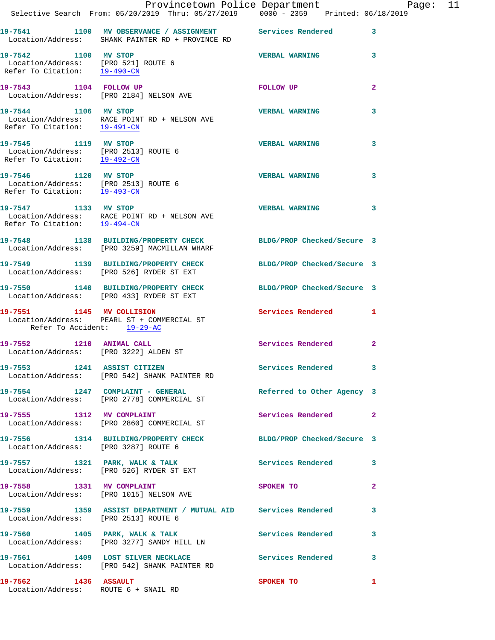|                                                                                                                  | Provincetown Police Department Page: 11<br>Selective Search From: 05/20/2019 Thru: 05/27/2019   0000 - 2359   Printed: 06/18/2019 |                            |                |  |
|------------------------------------------------------------------------------------------------------------------|-----------------------------------------------------------------------------------------------------------------------------------|----------------------------|----------------|--|
|                                                                                                                  | 19-7541 1100 MV OBSERVANCE / ASSIGNMENT Services Rendered 3<br>Location/Address: SHANK PAINTER RD + PROVINCE RD                   |                            |                |  |
| 19-7542 1100 MV STOP<br>Location/Address: [PRO 521] ROUTE 6<br>Refer To Citation: 19-490-CN                      |                                                                                                                                   | VERBAL WARNING 3           |                |  |
|                                                                                                                  | 19-7543 1104 FOLLOW UP<br>Location/Address: [PRO 2184] NELSON AVE                                                                 | FOLLOW UP                  | $\mathbf{2}$   |  |
| 19-7544 1106 MV STOP                                                                                             | Location/Address: RACE POINT RD + NELSON AVE<br>Refer To Citation: $\frac{19-491-CN}{\pi}$                                        | <b>VERBAL WARNING</b>      | 3              |  |
| 19-7545 1119 MV STOP<br>Location/Address: [PRO 2513] ROUTE 6<br>Refer To Citation: $\frac{19-492-CN}{\ }$        |                                                                                                                                   | <b>VERBAL WARNING</b>      | 3              |  |
| 19-7546 1120 MV STOP<br>Location/Address: [PRO 2513] ROUTE 6<br>Refer To Citation: $\frac{19-493-CN}{19-493-CN}$ |                                                                                                                                   | <b>VERBAL WARNING</b>      | 3              |  |
|                                                                                                                  | 19-7547 1133 MV STOP<br>Location/Address: RACE POINT RD + NELSON AVE<br>Refer To Citation: $\frac{19-494-CN}{\sqrt{10}}$          | <b>VERBAL WARNING</b>      | 3              |  |
|                                                                                                                  | 19-7548 1138 BUILDING/PROPERTY CHECK BLDG/PROP Checked/Secure 3<br>Location/Address: [PRO 3259] MACMILLAN WHARF                   |                            |                |  |
|                                                                                                                  | 19-7549 1139 BUILDING/PROPERTY CHECK BLDG/PROP Checked/Secure 3<br>Location/Address: [PRO 526] RYDER ST EXT                       |                            |                |  |
|                                                                                                                  | 19-7550 1140 BUILDING/PROPERTY CHECK BLDG/PROP Checked/Secure 3<br>Location/Address: [PRO 433] RYDER ST EXT                       |                            |                |  |
| Refer To Accident: 19-29-AC                                                                                      | 19-7551 1145 MV COLLISION<br>Location/Address: PEARL ST + COMMERCIAL ST                                                           | <b>Services Rendered</b> 1 |                |  |
| 19-7552 1210 ANIMAL CALL<br>Location/Address: [PRO 3222] ALDEN ST                                                |                                                                                                                                   | Services Rendered          | $\mathbf{2}$   |  |
|                                                                                                                  | 19-7553 1241 ASSIST CITIZEN<br>Location/Address: [PRO 542] SHANK PAINTER RD                                                       | Services Rendered 3        |                |  |
|                                                                                                                  | 19-7554 1247 COMPLAINT - GENERAL<br>Location/Address: [PRO 2778] COMMERCIAL ST                                                    | Referred to Other Agency 3 |                |  |
|                                                                                                                  | 19-7555 1312 MV COMPLAINT<br>Location/Address: [PRO 2860] COMMERCIAL ST                                                           | Services Rendered 2        |                |  |
| Location/Address: [PRO 3287] ROUTE 6                                                                             | 19-7556 1314 BUILDING/PROPERTY CHECK BLDG/PROP Checked/Secure 3                                                                   |                            |                |  |
|                                                                                                                  | 19-7557 1321 PARK, WALK & TALK 1997 Services Rendered 3<br>Location/Address: [PRO 526] RYDER ST EXT                               |                            |                |  |
| 19-7558 1331 MV COMPLAINT                                                                                        | Location/Address: [PRO 1015] NELSON AVE                                                                                           | SPOKEN TO                  | $\overline{2}$ |  |
| Location/Address: [PRO 2513] ROUTE 6                                                                             | 19-7559 1359 ASSIST DEPARTMENT / MUTUAL AID Services Rendered                                                                     |                            | 3              |  |
|                                                                                                                  | 19-7560 1405 PARK, WALK & TALK Services Rendered<br>Location/Address: [PRO 3277] SANDY HILL LN                                    |                            | 3              |  |
|                                                                                                                  | 19-7561 1409 LOST SILVER NECKLACE<br>Location/Address: [PRO 542] SHANK PAINTER RD                                                 | <b>Services Rendered</b> 3 |                |  |
| 19-7562 1436 ASSAULT<br>Location/Address: ROUTE 6 + SNAIL RD                                                     |                                                                                                                                   | SPOKEN TO                  | 1              |  |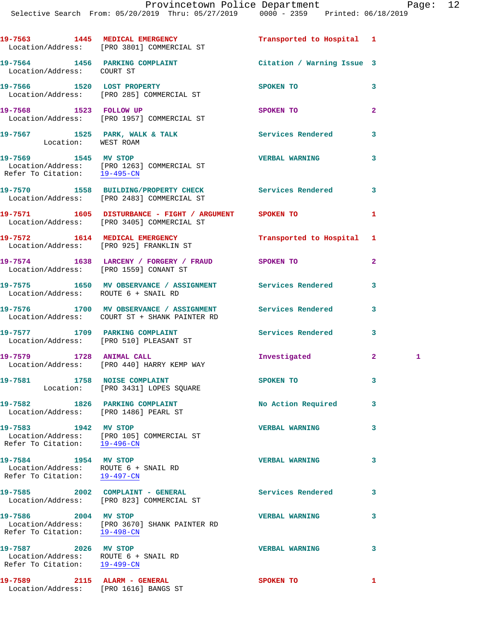|              | etown Police Department |             |  |                     | Page |
|--------------|-------------------------|-------------|--|---------------------|------|
| : 05/27/2019 |                         | 0000 - 2359 |  | Printed: 06/18/2019 |      |
|              |                         |             |  |                     |      |

|                                                                                                           | Selective Search From: 05/20/2019 Thru: 05/27/2019   0000 - 2359   Printed: 06/18/2019                     |                            |                     |
|-----------------------------------------------------------------------------------------------------------|------------------------------------------------------------------------------------------------------------|----------------------------|---------------------|
|                                                                                                           | 19-7563 1445 MEDICAL EMERGENCY<br>Location/Address: [PRO 3801] COMMERCIAL ST                               | Transported to Hospital 1  |                     |
| Location/Address: COURT ST                                                                                | 19-7564 1456 PARKING COMPLAINT                                                                             | Citation / Warning Issue 3 |                     |
|                                                                                                           | 19-7566 1520 LOST PROPERTY<br>Location/Address: [PRO 285] COMMERCIAL ST                                    | <b>SPOKEN TO</b>           | 3                   |
|                                                                                                           | 19-7568 1523 FOLLOW UP<br>Location/Address: [PRO 1957] COMMERCIAL ST                                       | SPOKEN TO                  | $\overline{a}$      |
| Location: WEST ROAM                                                                                       | 19-7567 1525 PARK, WALK & TALK 1998 Services Rendered                                                      |                            | 3                   |
| 19-7569 1545 MV STOP                                                                                      | Location/Address: [PRO 1263] COMMERCIAL ST<br>Refer To Citation: $\frac{19-495-CN}{29-495-CN}$             | <b>VERBAL WARNING</b>      | 3                   |
|                                                                                                           | 19-7570 1558 BUILDING/PROPERTY CHECK Services Rendered<br>Location/Address: [PRO 2483] COMMERCIAL ST       |                            | 3                   |
|                                                                                                           | 19-7571 1605 DISTURBANCE - FIGHT / ARGUMENT SPOKEN TO<br>Location/Address: [PRO 3405] COMMERCIAL ST        |                            | 1                   |
|                                                                                                           | 19-7572 1614 MEDICAL EMERGENCY<br>Location/Address: [PRO 925] FRANKLIN ST                                  | Transported to Hospital    | 1                   |
|                                                                                                           | 19-7574 1638 LARCENY / FORGERY / FRAUD SPOKEN TO<br>Location/Address: [PRO 1559] CONANT ST                 |                            | $\overline{a}$      |
| Location/Address: ROUTE 6 + SNAIL RD                                                                      | 19-7575 1650 MV OBSERVANCE / ASSIGNMENT Services Rendered                                                  |                            | 3                   |
|                                                                                                           | 19-7576 1700 MV OBSERVANCE / ASSIGNMENT Services Rendered<br>Location/Address: COURT ST + SHANK PAINTER RD |                            | 3                   |
|                                                                                                           | 19-7577 1709 PARKING COMPLAINT<br>Location/Address: [PRO 510] PLEASANT ST                                  | Services Rendered          | 3                   |
|                                                                                                           | 19-7579 1728 ANIMAL CALL<br>Location/Address: [PRO 440] HARRY KEMP WAY                                     | Investigated               | 2 <sup>1</sup><br>1 |
|                                                                                                           | 19-7581 1758 NOISE COMPLAINT<br>Location: [PRO 3431] LOPES SQUARE                                          | SPOKEN TO                  | 3                   |
|                                                                                                           | 19-7582 1826 PARKING COMPLAINT<br>Location/Address: [PRO 1486] PEARL ST                                    | No Action Required         | 3                   |
| 19-7583 1942 MV STOP<br>Refer To Citation: 19-496-CN                                                      | Location/Address: [PRO 105] COMMERCIAL ST                                                                  | <b>VERBAL WARNING</b>      | 3                   |
| 19-7584 1954 MV STOP<br>Location/Address: ROUTE 6 + SNAIL RD<br>Refer To Citation: $\frac{19-497-CN}{29}$ |                                                                                                            | <b>VERBAL WARNING</b>      | 3                   |
|                                                                                                           | 19-7585 2002 COMPLAINT - GENERAL<br>Location/Address: [PRO 823] COMMERCIAL ST                              | <b>Services Rendered</b>   | 3                   |
| 19-7586 2004 MV STOP                                                                                      | Location/Address: [PRO 3670] SHANK PAINTER RD<br>Refer To Citation: 19-498-CN                              | <b>VERBAL WARNING</b>      | 3                   |
| 19-7587 2026 MV STOP<br>Location/Address: ROUTE 6 + SNAIL RD<br>Refer To Citation: 19-499-CN              |                                                                                                            | <b>VERBAL WARNING</b>      | 3                   |
| 19-7589 2115 ALARM - GENERAL<br>Location/Address: [PRO 1616] BANGS ST                                     |                                                                                                            | SPOKEN TO                  | 1                   |
|                                                                                                           |                                                                                                            |                            |                     |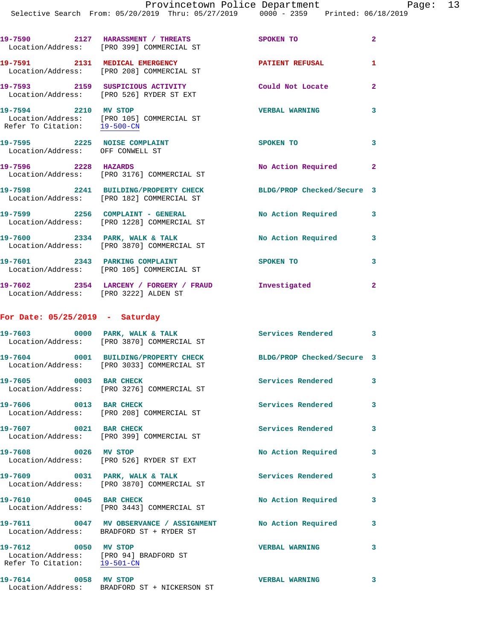| 19-7590                       | 2127 | HARASSMENT / THREATS<br>Location/Address: [PRO 399] COMMERCIAL ST       | <b>SPOKEN TO</b>      |   |
|-------------------------------|------|-------------------------------------------------------------------------|-----------------------|---|
| 19-7591                       | 2131 | MEDICAL EMERGENCY<br>Location/Address: [PRO 208] COMMERCIAL ST          | PATIENT REFUSAL       |   |
| 19-7593                       | 2159 | SUSPICIOUS ACTIVITY<br>Location/Address: [PRO 526] RYDER ST EXT         | Could Not Locate      | 2 |
| 19-7594<br>Refer To Citation: | 2210 | MV STOP<br>Location/Address: [PRO 105] COMMERCIAL ST<br>$19 - 500 - CN$ | <b>VERBAL WARNING</b> |   |

| 19-7595                      | 2225 | <b>NOISE COMPLAINT</b><br>Location/Address: OFF CONWELL ST | <b>SPOKEN TO</b>           |  |
|------------------------------|------|------------------------------------------------------------|----------------------------|--|
| 19-7596<br>Location/Address: | 2228 | <b>HAZARDS</b><br>[PRO 3176] COMMERCIAL ST                 | No Action Required         |  |
| 19-7598                      | 2241 | <b>BUILDING/PROPERTY CHECK</b>                             | BLDG/PROP Checked/Secure 3 |  |

| Location/Address:            |      | [PRO 182] COMMERCIAL ST                         |                    |  |
|------------------------------|------|-------------------------------------------------|--------------------|--|
| 19-7599<br>Location/Address: | 2256 | COMPLAINT - GENERAL<br>[PRO 1228] COMMERCIAL ST | No Action Required |  |
| 19-7600<br>Location/Address: | 2334 | PARK, WALK & TALK<br>[PRO 3870] COMMERCIAL ST   | No Action Required |  |

**19-7601 2343 PARKING COMPLAINT SPOKEN TO 3**  Location/Address: [PRO 105] COMMERCIAL ST

**19-7602 2354 LARCENY / FORGERY / FRAUD Investigated 2**  Location/Address: [PRO 3222] ALDEN ST

**For Date: 05/25/2019 - Saturday**

| 19-7603<br>Location/Address: | 0000 | PARK, WALK & TALK<br>[PRO 3870] COMMERCIAL ST                 | Services Rendered          |  |
|------------------------------|------|---------------------------------------------------------------|----------------------------|--|
| 19-7604<br>Location/Address: | 0001 | <b>BUILDING/PROPERTY CHECK</b><br>[PRO 3033] COMMERCIAL ST    | BLDG/PROP Checked/Secure 3 |  |
| 19-7605<br>Location/Address: | 0003 | <b>BAR CHECK</b><br>[PRO 3276] COMMERCIAL ST                  | Services Rendered          |  |
| 19-7606                      | 0013 | <b>BAR CHECK</b><br>Location/Address: [PRO 208] COMMERCIAL ST | Services Rendered          |  |

**19-7607 0021 BAR CHECK Services Rendered 3**  Location/Address: [PRO 399] COMMERCIAL ST 19-7608 0026 MV STOP **No Action Required** 3 Location/Address: [PRO 526] RYDER ST EXT

**19-7609 0031 PARK, WALK & TALK Services Rendered 3**  Location/Address: [PRO 3870] COMMERCIAL ST 19-7610 0045 BAR CHECK No Action Required 3 Location/Address: [PRO 3443] COMMERCIAL ST **19-7611 0047 MV OBSERVANCE / ASSIGNMENT No Action Required 3**  Location/Address: BRADFORD ST + RYDER ST **19-7612 0050 MV STOP VERBAL WARNING 3**  Location/Address: [PRO 94] BRADFORD ST Refer To Citation: 19-501-CN

**19-7614 0058 MV STOP VERBAL WARNING 3**  Location/Address: BRADFORD ST + NICKERSON ST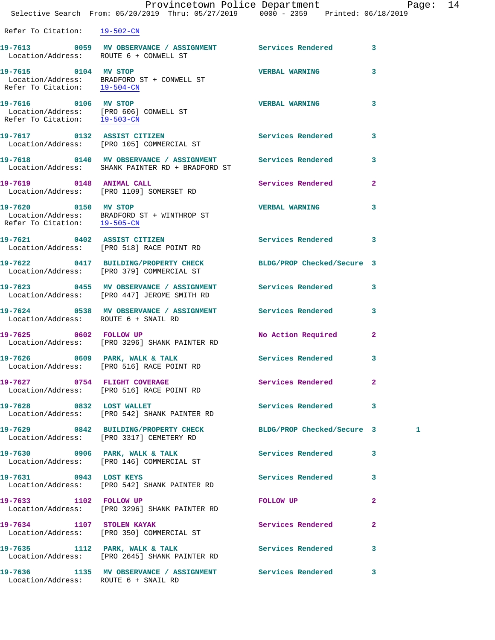|                                      | Provincetown Police Department Page: 14<br>Selective Search From: $05/20/2019$ Thru: $05/27/2019$ $0000 - 2359$ Printed: $06/18/2019$ |                          |              |  |
|--------------------------------------|---------------------------------------------------------------------------------------------------------------------------------------|--------------------------|--------------|--|
| Refer To Citation: 19-502-CN         |                                                                                                                                       |                          |              |  |
|                                      | 19-7613 0059 MV OBSERVANCE / ASSIGNMENT Services Rendered 3<br>Location/Address: ROUTE 6 + CONWELL ST                                 |                          |              |  |
|                                      | 19-7615 0104 MV STOP<br>Location/Address: BRADFORD ST + CONWELL ST<br>Refer To Citation: $\frac{19-504-CN}{29-504-CN}$                | <b>VERBAL WARNING</b>    | 3            |  |
| Refer To Citation: 19-503-CN         | 19-7616 0106 MV STOP<br>Location/Address: [PRO 606] CONWELL ST                                                                        | <b>VERBAL WARNING</b>    | 3            |  |
|                                      | 19-7617 		 0132 ASSIST CITIZEN 		 Services Rendered 3<br>Location/Address: [PRO 105] COMMERCIAL ST                                    |                          |              |  |
|                                      | 19-7618 		 0140 MV OBSERVANCE / ASSIGNMENT Services Rendered<br>Location/Address: SHANK PAINTER RD + BRADFORD ST                      |                          | 3            |  |
| 19-7619 0148 ANIMAL CALL             | Location/Address: [PRO 1109] SOMERSET RD                                                                                              | Services Rendered 2      |              |  |
|                                      | 19-7620 0150 MV STOP<br>Location/Address: BRADFORD ST + WINTHROP ST<br>Refer To Citation: <u>19-505-CN</u>                            | <b>VERBAL WARNING</b>    | 3            |  |
|                                      | 19-7621 0402 ASSIST CITIZEN<br>Location/Address: [PRO 518] RACE POINT RD                                                              | Services Rendered 3      |              |  |
|                                      | 19-7622 0417 BUILDING/PROPERTY CHECK BLDG/PROP Checked/Secure 3<br>Location/Address: [PRO 379] COMMERCIAL ST                          |                          |              |  |
|                                      | 19-7623 0455 MV OBSERVANCE / ASSIGNMENT Services Rendered 3<br>Location/Address: [PRO 447] JEROME SMITH RD                            |                          |              |  |
| Location/Address: ROUTE 6 + SNAIL RD | 19-7624 0538 MV OBSERVANCE / ASSIGNMENT Services Rendered 3                                                                           |                          |              |  |
|                                      | 19-7625 0602 FOLLOW UP<br>Location/Address: [PRO 3296] SHANK PAINTER RD                                                               | No Action Required       | $\mathbf{2}$ |  |
|                                      | 19-7626 0609 PARK, WALK & TALK<br>Location/Address: [PRO 516] RACE POINT RD                                                           | Services Rendered        | 3            |  |
| 19-7627 0754 FLIGHT COVERAGE         | Location/Address: [PRO 516] RACE POINT RD                                                                                             | Services Rendered 2      |              |  |
| 19-7628 0832 LOST WALLET             | Location/Address: [PRO 542] SHANK PAINTER RD                                                                                          | Services Rendered 3      |              |  |
|                                      | 19-7629 0842 BUILDING/PROPERTY CHECK BLDG/PROP Checked/Secure 3<br>Location/Address: [PRO 3317] CEMETERY RD                           |                          | 1            |  |
|                                      | 19-7630 0906 PARK, WALK & TALK<br>Location/Address: [PRO 146] COMMERCIAL ST                                                           | <b>Services Rendered</b> | 3            |  |
| 19-7631 0943 LOST KEYS               | Location/Address: [PRO 542] SHANK PAINTER RD                                                                                          | Services Rendered        | 3            |  |
| 19-7633 1102 FOLLOW UP               | Location/Address: [PRO 3296] SHANK PAINTER RD                                                                                         | <b>FOLLOW UP</b>         | $\mathbf{2}$ |  |
| 19-7634 1107 STOLEN KAYAK            | Location/Address: [PRO 350] COMMERCIAL ST                                                                                             | Services Rendered        | $\mathbf{2}$ |  |
| 19-7635                              | 1112 PARK, WALK & TALK                                                                                                                | <b>Services Rendered</b> | $\sim$ 3     |  |

Location/Address: ROUTE 6 + SNAIL RD

**19-7636 1135 MV OBSERVANCE / ASSIGNMENT Services Rendered 3** 

Location/Address: [PRO 2645] SHANK PAINTER RD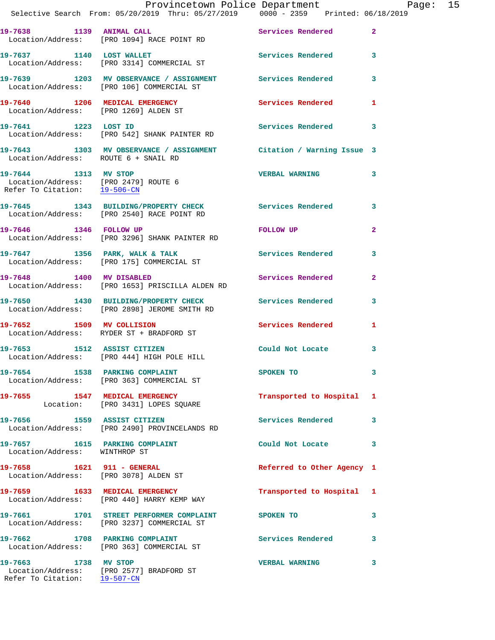|                                                      | Provincetown Police Department Page: 15<br>Selective Search From: 05/20/2019 Thru: 05/27/2019   0000 - 2359   Printed: 06/18/2019 |                            |                         |  |
|------------------------------------------------------|-----------------------------------------------------------------------------------------------------------------------------------|----------------------------|-------------------------|--|
|                                                      | 19-7638 1139 ANIMAL CALL<br>Location/Address: [PRO 1094] RACE POINT RD                                                            | Services Rendered 2        |                         |  |
|                                                      | 19-7637 1140 LOST WALLET Services Rendered 3<br>Location/Address: [PRO 3314] COMMERCIAL ST                                        |                            |                         |  |
|                                                      | 19-7639 1203 MV OBSERVANCE / ASSIGNMENT Services Rendered<br>Location/Address: [PRO 106] COMMERCIAL ST                            |                            | $\overline{\mathbf{3}}$ |  |
|                                                      | 19-7640 1206 MEDICAL EMERGENCY 1 Services Rendered 1<br>Location/Address: [PRO 1269] ALDEN ST                                     |                            |                         |  |
|                                                      | 19-7641 1223 LOST ID<br>Location/Address: [PRO 542] SHANK PAINTER RD                                                              | Services Rendered 3        |                         |  |
| Location/Address: ROUTE 6 + SNAIL RD                 | 19-7643 1303 MV OBSERVANCE / ASSIGNMENT Citation / Warning Issue 3                                                                |                            |                         |  |
| 19-7644 1313 MV STOP<br>Refer To Citation: 19-506-CN | Location/Address: [PRO 2479] ROUTE 6                                                                                              | VERBAL WARNING 3           |                         |  |
|                                                      | 19-7645 1343 BUILDING/PROPERTY CHECK Services Rendered<br>Location/Address: [PRO 2540] RACE POINT RD                              |                            | 3                       |  |
| 19-7646 1346 FOLLOW UP                               | Location/Address: [PRO 3296] SHANK PAINTER RD                                                                                     | <b>FOLLOW UP</b>           | $\mathbf{2}$            |  |
|                                                      | 19-7647 1356 PARK, WALK & TALK 1998 Services Rendered<br>Location/Address: [PRO 175] COMMERCIAL ST                                |                            | 3                       |  |
| 19-7648 1400 MV DISABLED                             | Location/Address: [PRO 1653] PRISCILLA ALDEN RD                                                                                   | Services Rendered          | $\mathbf{2}$            |  |
|                                                      | 19-7650 1430 BUILDING/PROPERTY CHECK<br>Location/Address: [PRO 2898] JEROME SMITH RD                                              | Services Rendered 3        |                         |  |
|                                                      | 19-7652 1509 MV COLLISION<br>Location/Address: RYDER ST + BRADFORD ST                                                             | Services Rendered          | 1                       |  |
|                                                      | 19-7653 1512 ASSIST CITIZEN<br>Location/Address: [PRO 444] HIGH POLE HILL                                                         | Could Not Locate           | 3                       |  |
|                                                      | 19-7654 1538 PARKING COMPLAINT<br>Location/Address: [PRO 363] COMMERCIAL ST                                                       | SPOKEN TO                  | 3                       |  |
|                                                      | 19-7655 1547 MEDICAL EMERGENCY<br>Location: [PRO 3431] LOPES SQUARE                                                               | Transported to Hospital 1  |                         |  |
|                                                      | 19-7656 1559 ASSIST CITIZEN<br>Location/Address: [PRO 2490] PROVINCELANDS RD                                                      | Services Rendered 3        |                         |  |
| Location/Address: WINTHROP ST                        | 19-7657 1615 PARKING COMPLAINT                                                                                                    | Could Not Locate 3         |                         |  |
|                                                      | 19-7658 1621 911 - GENERAL<br>Location/Address: [PRO 3078] ALDEN ST                                                               | Referred to Other Agency 1 |                         |  |
|                                                      | 19-7659 1633 MEDICAL EMERGENCY<br>Location/Address: [PRO 440] HARRY KEMP WAY                                                      | Transported to Hospital 1  |                         |  |
|                                                      | 19-7661 1701 STREET PERFORMER COMPLAINT SPOKEN TO<br>Location/Address: [PRO 3237] COMMERCIAL ST                                   |                            | 3                       |  |
|                                                      | 19-7662 1708 PARKING COMPLAINT<br>Location/Address: [PRO 363] COMMERCIAL ST                                                       | Services Rendered 3        |                         |  |
| 19-7663 1738 MV STOP                                 | Location/Address: [PRO 2577] BRADFORD ST                                                                                          | <b>VERBAL WARNING</b>      | 3                       |  |

Refer To Citation: 19-507-CN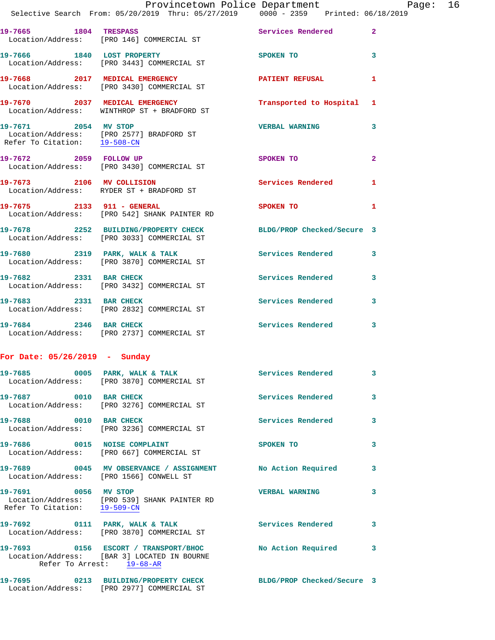|                                 | Provincetown Police Department Page: 16<br>Selective Search From: 05/20/2019 Thru: 05/27/2019   0000 - 2359   Printed: 06/18/2019     |                           |              |  |
|---------------------------------|---------------------------------------------------------------------------------------------------------------------------------------|---------------------------|--------------|--|
|                                 | 19-7665 1804 TRESPASS                                                                                                                 | Services Rendered 2       |              |  |
|                                 | Location/Address: [PRO 146] COMMERCIAL ST                                                                                             |                           |              |  |
|                                 | 19-7666 1840 LOST PROPERTY<br>Location/Address: [PRO 3443] COMMERCIAL ST                                                              | SPOKEN TO 3               |              |  |
|                                 | 19-7668 2017 MEDICAL EMERGENCY PATIENT REFUSAL<br>Location/Address: [PRO 3430] COMMERCIAL ST                                          |                           | 1            |  |
|                                 | 19-7670 2037 MEDICAL EMERGENCY<br>Location/Address: WINTHROP ST + BRADFORD ST                                                         | Transported to Hospital 1 |              |  |
|                                 | 19-7671 2054 MV STOP<br>Location/Address: [PRO 2577] BRADFORD ST<br>Refer To Citation: 19-508-CN                                      | <b>VERBAL WARNING</b>     | 3            |  |
|                                 | 19-7672 2059 FOLLOW UP<br>Location/Address: [PRO 3430] COMMERCIAL ST                                                                  | SPOKEN TO                 | $\mathbf{2}$ |  |
|                                 | 19-7673 2106 MV COLLISION<br>Location/Address: RYDER ST + BRADFORD ST                                                                 | Services Rendered 1       |              |  |
|                                 | 19-7675 2133 911 - GENERAL<br>Location/Address: [PRO 542] SHANK PAINTER RD                                                            | <b>SPOKEN TO</b>          | 1            |  |
|                                 | 19-7678 2252 BUILDING/PROPERTY CHECK BLDG/PROP Checked/Secure 3<br>Location/Address: [PRO 3033] COMMERCIAL ST                         |                           |              |  |
|                                 | 19-7680 2319 PARK, WALK & TALK 2008 Services Rendered<br>Location/Address: [PRO 3870] COMMERCIAL ST                                   |                           | 3            |  |
| 19-7682 2331 BAR CHECK          | Location/Address: [PRO 3432] COMMERCIAL ST                                                                                            | Services Rendered 3       |              |  |
|                                 | 19-7683 2331 BAR CHECK<br>Location/Address: [PRO 2832] COMMERCIAL ST                                                                  | Services Rendered         | 3            |  |
| 19-7684 2346 BAR CHECK          | Location/Address: [PRO 2737] COMMERCIAL ST                                                                                            | Services Rendered 3       |              |  |
| For Date: $05/26/2019$ - Sunday |                                                                                                                                       |                           |              |  |
|                                 | 19-7685 6005 PARK, WALK & TALK 1997 Services Rendered 3<br>Location/Address: [PRO 3870] COMMERCIAL ST                                 |                           |              |  |
| 19-7687 0010 BAR CHECK          | Location/Address: [PRO 3276] COMMERCIAL ST                                                                                            | Services Rendered         | 3            |  |
|                                 | 19-7688 0010 BAR CHECK<br>Location/Address: [PRO 3236] COMMERCIAL ST                                                                  | <b>Services Rendered</b>  | 3            |  |
|                                 | 19-7686 0015 NOISE COMPLAINT<br>Location/Address: [PRO 667] COMMERCIAL ST                                                             | <b>SPOKEN TO</b>          | 3            |  |
|                                 | 19-7689 0045 MV OBSERVANCE / ASSIGNMENT No Action Required 3<br>Location/Address: [PRO 1566] CONWELL ST                               |                           |              |  |
| Refer To Citation: 19-509-CN    | 19-7691 0056 MV STOP<br>Location/Address: [PRO 539] SHANK PAINTER RD                                                                  | <b>VERBAL WARNING</b>     | 3            |  |
|                                 | 19-7692 0111 PARK, WALK & TALK Services Rendered<br>Location/Address: [PRO 3870] COMMERCIAL ST                                        |                           | 3            |  |
|                                 | 19-7693 0156 ESCORT / TRANSPORT/BHOC No Action Required 3<br>Location/Address: [BAR 3] LOCATED IN BOURNE<br>Refer To Arrest: 19-68-AR |                           |              |  |
|                                 | 19-7695 0213 BUILDING/PROPERTY CHECK BLDG/PROP Checked/Secure 3                                                                       |                           |              |  |

Location/Address: [PRO 2977] COMMERCIAL ST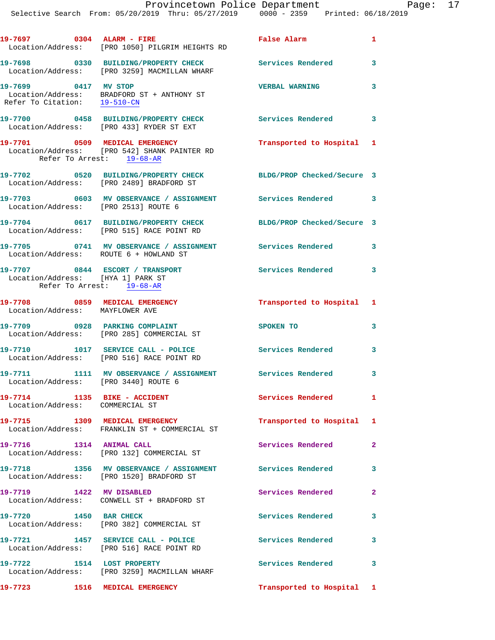| 19-7697 0304 ALARM - FIRE                                       | Location/Address: [PRO 1050] PILGRIM HEIGHTS RD                                                        | <b>False Alarm</b>         | $\mathbf{1}$            |
|-----------------------------------------------------------------|--------------------------------------------------------------------------------------------------------|----------------------------|-------------------------|
|                                                                 | 19-7698 0330 BUILDING/PROPERTY CHECK Services Rendered<br>Location/Address: [PRO 3259] MACMILLAN WHARF |                            | 3                       |
| 19-7699 0417 MV STOP<br>Refer To Citation: 19-510-CN            | Location/Address: BRADFORD ST + ANTHONY ST                                                             | <b>VERBAL WARNING</b>      | 3                       |
|                                                                 | 19-7700 0458 BUILDING/PROPERTY CHECK<br>Location/Address: [PRO 433] RYDER ST EXT                       | Services Rendered 3        |                         |
| Refer To Arrest: 19-68-AR                                       | 19-7701 0509 MEDICAL EMERGENCY<br>Location/Address: [PRO 542] SHANK PAINTER RD                         | Transported to Hospital 1  |                         |
|                                                                 | 19-7702 0520 BUILDING/PROPERTY CHECK<br>Location/Address: [PRO 2489] BRADFORD ST                       | BLDG/PROP Checked/Secure 3 |                         |
|                                                                 | 19-7703 0603 MV OBSERVANCE / ASSIGNMENT Services Rendered 3<br>Location/Address: [PRO 2513] ROUTE 6    |                            |                         |
|                                                                 | 19-7704 0617 BUILDING/PROPERTY CHECK<br>Location/Address: [PRO 515] RACE POINT RD                      | BLDG/PROP Checked/Secure 3 |                         |
|                                                                 | 19-7705 0741 MV OBSERVANCE / ASSIGNMENT Services Rendered<br>Location/Address: ROUTE 6 + HOWLAND ST    |                            | $\overline{\mathbf{3}}$ |
| Location/Address: [HYA 1] PARK ST                               | 19-7707 0844 ESCORT / TRANSPORT<br>Refer To Arrest: 19-68-AR                                           | Services Rendered 3        |                         |
| Location/Address: MAYFLOWER AVE                                 | 19-7708 0859 MEDICAL EMERGENCY                                                                         | Transported to Hospital 1  |                         |
|                                                                 | 19-7709 0928 PARKING COMPLAINT<br>Location/Address: [PRO 285] COMMERCIAL ST                            | SPOKEN TO                  | 3                       |
|                                                                 | 19-7710 1017 SERVICE CALL - POLICE<br>Location/Address: [PRO 516] RACE POINT RD                        | <b>Services Rendered</b>   | $\mathbf{3}$            |
|                                                                 | 19-7711 1111 MV OBSERVANCE / ASSIGNMENT Services Rendered<br>Location/Address: [PRO 3440] ROUTE 6      |                            | 3                       |
| 19-7714 1135 BIKE - ACCIDENT<br>Location/Address: COMMERCIAL ST |                                                                                                        | <b>Services Rendered</b>   | $\mathbf{1}$            |
|                                                                 | 19-7715 1309 MEDICAL EMERGENCY<br>Location/Address: FRANKLIN ST + COMMERCIAL ST                        | Transported to Hospital 1  |                         |
| 19-7716 1314 ANIMAL CALL                                        | Location/Address: [PRO 132] COMMERCIAL ST                                                              | Services Rendered          | $\mathbf{2}$            |
|                                                                 | 19-7718 1356 MV OBSERVANCE / ASSIGNMENT Services Rendered<br>Location/Address: [PRO 1520] BRADFORD ST  |                            | $\overline{\mathbf{3}}$ |
|                                                                 | 19-7719 1422 MV DISABLED<br>Location/Address: CONWELL ST + BRADFORD ST                                 | Services Rendered          | $\mathbf{2}$            |
| 19-7720 1450 BAR CHECK                                          | Location/Address: [PRO 382] COMMERCIAL ST                                                              | Services Rendered          | 3                       |
|                                                                 | 19-7721 1457 SERVICE CALL - POLICE<br>Location/Address: [PRO 516] RACE POINT RD                        | <b>Services Rendered</b>   | 3                       |
| 19-7722 1514 LOST PROPERTY                                      | Location/Address: [PRO 3259] MACMILLAN WHARF                                                           | Services Rendered          | $\mathbf{3}$            |
|                                                                 | 19-7723 1516 MEDICAL EMERGENCY                                                                         | Transported to Hospital 1  |                         |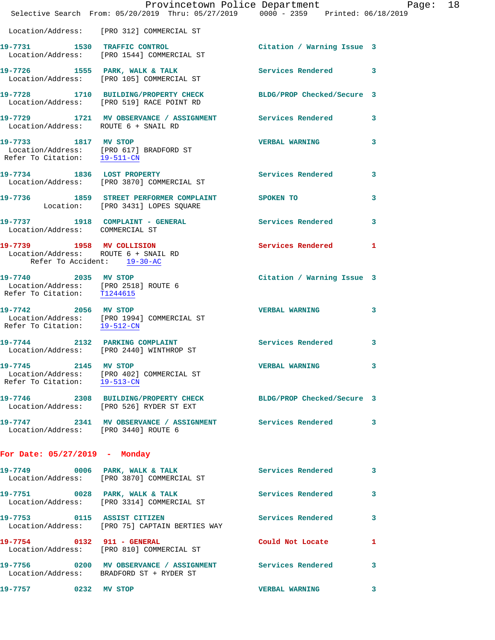|                                                                                             | Provincetown Police Department Page: 18<br>Selective Search From: 05/20/2019 Thru: 05/27/2019   0000 - 2359   Printed: 06/18/2019 |                            |              |
|---------------------------------------------------------------------------------------------|-----------------------------------------------------------------------------------------------------------------------------------|----------------------------|--------------|
|                                                                                             | Location/Address: [PRO 312] COMMERCIAL ST                                                                                         |                            |              |
|                                                                                             | 19-7731 1530 TRAFFIC CONTROL<br>Location/Address: [PRO 1544] COMMERCIAL ST                                                        | Citation / Warning Issue 3 |              |
|                                                                                             | 19-7726 1555 PARK, WALK & TALK (Services Rendered 3)<br>Location/Address: [PRO 105] COMMERCIAL ST                                 |                            |              |
|                                                                                             | 19-7728 1710 BUILDING/PROPERTY CHECK BLDG/PROP Checked/Secure 3<br>Location/Address: [PRO 519] RACE POINT RD                      |                            |              |
| Location/Address: ROUTE 6 + SNAIL RD                                                        | 19-7729 1721 MV OBSERVANCE / ASSIGNMENT Services Rendered                                                                         |                            | $\mathbf{3}$ |
| 19-7733 1817 MV STOP<br>Refer To Citation: 19-511-CN                                        | Location/Address: [PRO 617] BRADFORD ST                                                                                           | <b>VERBAL WARNING</b>      | $\mathbf{3}$ |
|                                                                                             | 19-7734 1836 LOST PROPERTY<br>Location/Address: [PRO 3870] COMMERCIAL ST                                                          | Services Rendered          | 3            |
|                                                                                             | 19-7736 1859 STREET PERFORMER COMPLAINT SPOKEN TO<br>Location: [PRO 3431] LOPES SQUARE                                            |                            | 3            |
| Location/Address: COMMERCIAL ST                                                             | 19-7737 1918 COMPLAINT - GENERAL Services Rendered                                                                                |                            | $\mathbf{3}$ |
| Location/Address: ROUTE 6 + SNAIL RD<br>Refer To Accident: 19-30-AC                         | 19-7739 1958 MV COLLISION                                                                                                         | Services Rendered          | $\mathbf{1}$ |
| 19-7740 2035 MV STOP<br>Location/Address: [PRO 2518] ROUTE 6<br>Refer To Citation: T1244615 |                                                                                                                                   | Citation / Warning Issue 3 |              |
| Refer To Citation: 19-512-CN                                                                | 19-7742 2056 MV STOP<br>Location/Address: [PRO 1994] COMMERCIAL ST                                                                | <b>VERBAL WARNING</b>      | 3            |
|                                                                                             | 19-7744 2132 PARKING COMPLAINT Services Rendered<br>Location/Address: [PRO 2440] WINTHROP ST                                      |                            | 3            |
| 19-7745 2145 MV STOP                                                                        | Location/Address: [PRO 402] COMMERCIAL ST<br>Refer To Citation: 19-513-CN                                                         | <b>VERBAL WARNING</b>      | 3.           |
|                                                                                             | 19-7746 2308 BUILDING/PROPERTY CHECK BLDG/PROP Checked/Secure 3<br>Location/Address: [PRO 526] RYDER ST EXT                       |                            |              |
| Location/Address: [PRO 3440] ROUTE 6                                                        | 19-7747 2341 MV OBSERVANCE / ASSIGNMENT Services Rendered                                                                         |                            | $\mathbf{3}$ |
| For Date: $05/27/2019$ - Monday                                                             |                                                                                                                                   |                            |              |
|                                                                                             |                                                                                                                                   |                            | 3            |
|                                                                                             | 19-7751 0028 PARK, WALK & TALK 1997 Services Rendered<br>Location/Address: [PRO 3314] COMMERCIAL ST                               |                            | 3            |
|                                                                                             | 19-7753 0115 ASSIST CITIZEN<br>Location/Address: [PRO 75] CAPTAIN BERTIES WAY                                                     | Services Rendered          | 3            |
|                                                                                             | 19-7754 0132 911 - GENERAL<br>Location/Address: [PRO 810] COMMERCIAL ST                                                           | Could Not Locate           | 1            |
|                                                                                             | 19-7756 0200 MV OBSERVANCE / ASSIGNMENT Services Rendered<br>Location/Address: BRADFORD ST + RYDER ST                             |                            | 3            |
| 19-7757 0232 MV STOP                                                                        |                                                                                                                                   | <b>VERBAL WARNING</b>      | 3            |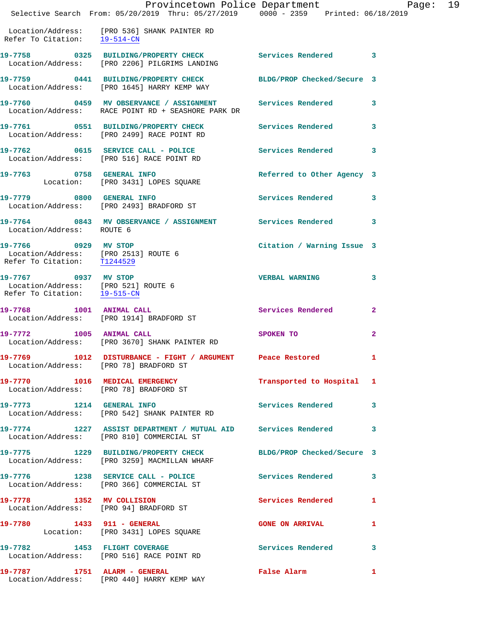|                                                                                             | Provincetown Police Department<br>Selective Search From: 05/20/2019 Thru: 05/27/2019 0000 - 2359 Printed: 06/18/2019 |                            | Page: 19     |
|---------------------------------------------------------------------------------------------|----------------------------------------------------------------------------------------------------------------------|----------------------------|--------------|
| Refer To Citation: 19-514-CN                                                                | Location/Address: [PRO 536] SHANK PAINTER RD                                                                         |                            |              |
|                                                                                             | 19-7758 0325 BUILDING/PROPERTY CHECK Services Rendered 3<br>Location/Address: [PRO 2206] PILGRIMS LANDING            |                            |              |
|                                                                                             | 19-7759 0441 BUILDING/PROPERTY CHECK BLDG/PROP Checked/Secure 3<br>Location/Address: [PRO 1645] HARRY KEMP WAY       |                            |              |
|                                                                                             | 19-7760 0459 MV OBSERVANCE / ASSIGNMENT Services Rendered 3<br>Location/Address: RACE POINT RD + SEASHORE PARK DR    |                            |              |
|                                                                                             | 19-7761 0551 BUILDING/PROPERTY CHECK Services Rendered 3<br>Location/Address: [PRO 2499] RACE POINT RD               |                            |              |
|                                                                                             | 19-7762 0615 SERVICE CALL - POLICE Services Rendered 3<br>Location/Address: [PRO 516] RACE POINT RD                  |                            |              |
|                                                                                             | 19-7763 0758 GENERAL INFO<br>Location: [PRO 3431] LOPES SQUARE                                                       | Referred to Other Agency 3 |              |
|                                                                                             | 19-7779 0800 GENERAL INFO<br>Location/Address: [PRO 2493] BRADFORD ST                                                | Services Rendered 3        |              |
| Location/Address: ROUTE 6                                                                   | 19-7764 0843 MV OBSERVANCE / ASSIGNMENT Services Rendered 3                                                          |                            |              |
| 19-7766 0929 MV STOP<br>Location/Address: [PRO 2513] ROUTE 6<br>Refer To Citation: T1244529 |                                                                                                                      | Citation / Warning Issue 3 |              |
| 19-7767 0937 MV STOP<br>Location/Address: [PRO 521] ROUTE 6<br>Refer To Citation: 19-515-CM |                                                                                                                      | <b>VERBAL WARNING 3</b>    |              |
|                                                                                             | 19-7768 1001 ANIMAL CALL<br>Location/Address: [PRO 1914] BRADFORD ST                                                 | Services Rendered 2        |              |
|                                                                                             | 19-7772 1005 ANIMAL CALL<br>Location/Address: [PRO 3670] SHANK PAINTER RD                                            | SPOKEN TO                  | $\mathbf{2}$ |
|                                                                                             | 19-7769 1012 DISTURBANCE - FIGHT / ARGUMENT Peace Restored<br>Location/Address: [PRO 78] BRADFORD ST                 |                            |              |
|                                                                                             | 19-7770 1016 MEDICAL EMERGENCY<br>Location/Address: [PRO 78] BRADFORD ST                                             | Transported to Hospital 1  |              |
|                                                                                             | 19-7773 1214 GENERAL INFO<br>Location/Address: [PRO 542] SHANK PAINTER RD                                            | Services Rendered 3        |              |
|                                                                                             | 19-7774 1227 ASSIST DEPARTMENT / MUTUAL AID Services Rendered 3<br>Location/Address: [PRO 810] COMMERCIAL ST         |                            |              |
|                                                                                             | 19-7775 1229 BUILDING/PROPERTY CHECK BLDG/PROP Checked/Secure 3<br>Location/Address: [PRO 3259] MACMILLAN WHARF      |                            |              |
|                                                                                             | 19-7776 1238 SERVICE CALL - POLICE Services Rendered 3<br>Location/Address: [PRO 366] COMMERCIAL ST                  |                            |              |
|                                                                                             | 19-7778 1352 MV COLLISION<br>Location/Address: [PRO 94] BRADFORD ST                                                  | Services Rendered 1        |              |
|                                                                                             | 19-7780 1433 911 - GENERAL<br>Location: [PRO 3431] LOPES SQUARE                                                      | <b>GONE ON ARRIVAL</b>     | 1            |
|                                                                                             | 19-7782 1453 FLIGHT COVERAGE<br>Location/Address: [PRO 516] RACE POINT RD                                            | Services Rendered 3        |              |
|                                                                                             | 19-7787 1751 ALARM - GENERAL<br>Location/Address: [PRO 440] HARRY KEMP WAY                                           | False Alarm 1              |              |